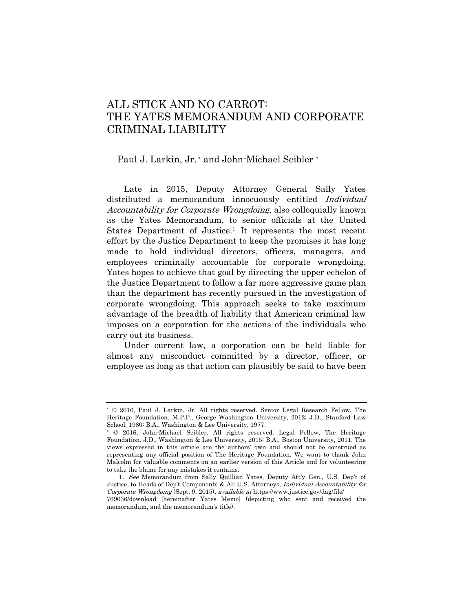# ALL STICK AND NO CARROT: THE YATES MEMORANDUM AND CORPORATE CRIMINAL LIABILITY

Paul J. Larkin, Jr.<sup>\*</sup> and John-Michael Seibler<sup>\*</sup>

Late in 2015, Deputy Attorney General Sally Yates distributed a memorandum innocuously entitled Individual Accountability for Corporate Wrongdoing, also colloquially known as the Yates Memorandum, to senior officials at the United States Department of Justice.<sup>1</sup> It represents the most recent effort by the Justice Department to keep the promises it has long made to hold individual directors, officers, managers, and employees criminally accountable for corporate wrongdoing. Yates hopes to achieve that goal by directing the upper echelon of the Justice Department to follow a far more aggressive game plan than the department has recently pursued in the investigation of corporate wrongdoing. This approach seeks to take maximum advantage of the breadth of liability that American criminal law imposes on a corporation for the actions of the individuals who carry out its business.

Under current law, a corporation can be held liable for almost any misconduct committed by a director, officer, or employee as long as that action can plausibly be said to have been

<sup>\* © 2016,</sup> Paul J. Larkin, Jr. All rights reserved. Senior Legal Research Fellow, The Heritage Foundation. M.P.P., George Washington University, 2012; J.D., Stanford Law School, 1980; B.A., Washington & Lee University, 1977.

<sup>\* © 2016,</sup> John-Michael Seibler. All rights reserved. Legal Fellow, The Heritage Foundation. J.D., Washington & Lee University, 2015; B.A., Boston University, 2011. The views expressed in this article are the authors' own and should not be construed as representing any official position of The Heritage Foundation. We want to thank John Malcolm for valuable comments on an earlier version of this Article and for volunteering to take the blame for any mistakes it contains.

<sup>1</sup>. See Memorandum from Sally Quillian Yates, Deputy Att'y Gen., U.S. Dep't of Justice, to Heads of Dep't Components & All U.S. Attorneys, Individual Accountability for Corporate Wrongdoing (Sept. 9, 2015), available at https://www.justice.gov/dag/file/

<sup>769036/</sup>download [hereinafter Yates Memo] (depicting who sent and received the memorandum, and the memorandum's title).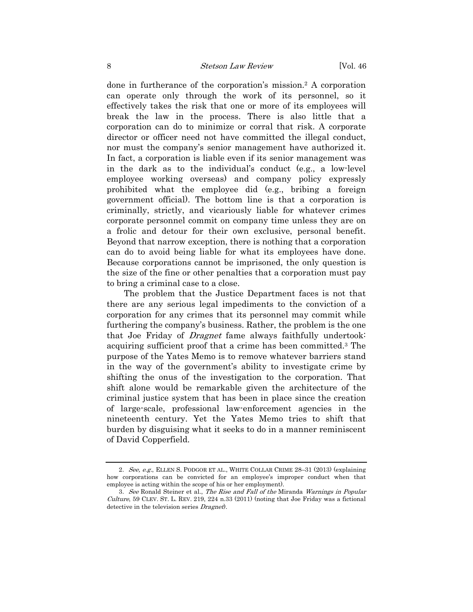done in furtherance of the corporation's mission.2 A corporation can operate only through the work of its personnel, so it effectively takes the risk that one or more of its employees will break the law in the process. There is also little that a corporation can do to minimize or corral that risk. A corporate director or officer need not have committed the illegal conduct, nor must the company's senior management have authorized it. In fact, a corporation is liable even if its senior management was in the dark as to the individual's conduct (e.g., a low-level employee working overseas) and company policy expressly prohibited what the employee did (e.g., bribing a foreign government official). The bottom line is that a corporation is criminally, strictly, and vicariously liable for whatever crimes corporate personnel commit on company time unless they are on a frolic and detour for their own exclusive, personal benefit. Beyond that narrow exception, there is nothing that a corporation can do to avoid being liable for what its employees have done. Because corporations cannot be imprisoned, the only question is the size of the fine or other penalties that a corporation must pay to bring a criminal case to a close.

The problem that the Justice Department faces is not that there are any serious legal impediments to the conviction of a corporation for any crimes that its personnel may commit while furthering the company's business. Rather, the problem is the one that Joe Friday of Dragnet fame always faithfully undertook: acquiring sufficient proof that a crime has been committed.3 The purpose of the Yates Memo is to remove whatever barriers stand in the way of the government's ability to investigate crime by shifting the onus of the investigation to the corporation. That shift alone would be remarkable given the architecture of the criminal justice system that has been in place since the creation of large-scale, professional law-enforcement agencies in the nineteenth century. Yet the Yates Memo tries to shift that burden by disguising what it seeks to do in a manner reminiscent of David Copperfield.

<sup>2</sup>. See, e.g., ELLEN S. PODGOR ET AL., WHITE COLLAR CRIME 28–31 (2013) (explaining how corporations can be convicted for an employee's improper conduct when that employee is acting within the scope of his or her employment).

<sup>3</sup>. See Ronald Steiner et al., The Rise and Fall of the Miranda Warnings in Popular Culture, 59 CLEV. ST. L. REV. 219, 224 n.33 (2011) (noting that Joe Friday was a fictional detective in the television series *Dragnet*).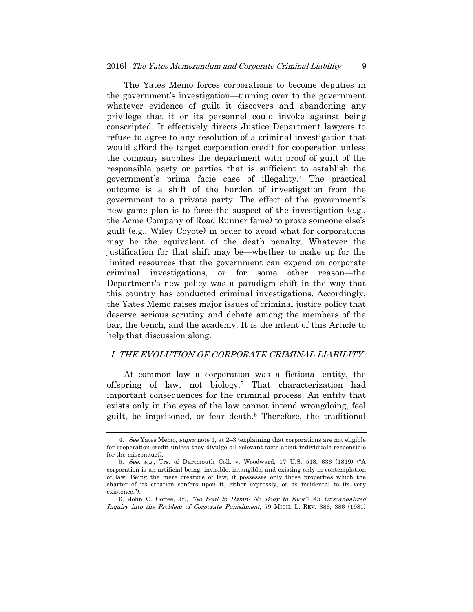The Yates Memo forces corporations to become deputies in the government's investigation—turning over to the government whatever evidence of guilt it discovers and abandoning any privilege that it or its personnel could invoke against being conscripted. It effectively directs Justice Department lawyers to refuse to agree to any resolution of a criminal investigation that would afford the target corporation credit for cooperation unless the company supplies the department with proof of guilt of the responsible party or parties that is sufficient to establish the government's prima facie case of illegality.4 The practical outcome is a shift of the burden of investigation from the government to a private party. The effect of the government's new game plan is to force the suspect of the investigation (e.g., the Acme Company of Road Runner fame) to prove someone else's guilt (e.g., Wiley Coyote) in order to avoid what for corporations may be the equivalent of the death penalty. Whatever the justification for that shift may be—whether to make up for the limited resources that the government can expend on corporate criminal investigations, or for some other reason—the Department's new policy was a paradigm shift in the way that this country has conducted criminal investigations. Accordingly, the Yates Memo raises major issues of criminal justice policy that deserve serious scrutiny and debate among the members of the bar, the bench, and the academy. It is the intent of this Article to help that discussion along.

#### I. THE EVOLUTION OF CORPORATE CRIMINAL LIABILITY

At common law a corporation was a fictional entity, the offspring of law, not biology.5 That characterization had important consequences for the criminal process. An entity that exists only in the eyes of the law cannot intend wrongdoing, feel guilt, be imprisoned, or fear death.6 Therefore, the traditional

<sup>4.</sup> See Yates Memo, supra note 1, at 2–3 (explaining that corporations are not eligible for cooperation credit unless they divulge all relevant facts about individuals responsible for the misconduct).

<sup>5</sup>. See, e.g., Trs. of Dartmouth Coll. v. Woodward, 17 U.S. 518, 636 (1819) ("A corporation is an artificial being, invisible, intangible, and existing only in contemplation of law. Being the mere creature of law, it possesses only those properties which the charter of its creation confers upon it, either expressly, or as incidental to its very existence.").

 <sup>6.</sup> John C. Coffee, Jr., "No Soul to Damn: No Body to Kick": An Unscandalized Inquiry into the Problem of Corporate Punishment, 79 MICH. L. REV. 386, 386 (1981)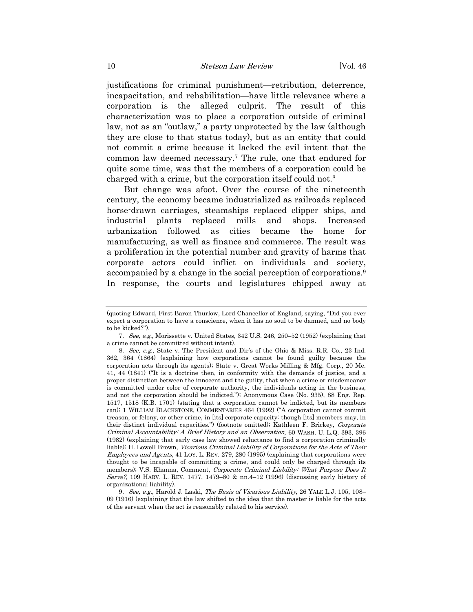justifications for criminal punishment—retribution, deterrence, incapacitation, and rehabilitation—have little relevance where a corporation is the alleged culprit. The result of this characterization was to place a corporation outside of criminal law, not as an "outlaw," a party unprotected by the law (although they are close to that status today), but as an entity that could not commit a crime because it lacked the evil intent that the common law deemed necessary.7 The rule, one that endured for quite some time, was that the members of a corporation could be charged with a crime, but the corporation itself could not.8

But change was afoot. Over the course of the nineteenth century, the economy became industrialized as railroads replaced horse-drawn carriages, steamships replaced clipper ships, and industrial plants replaced mills and shops. Increased urbanization followed as cities became the home for manufacturing, as well as finance and commerce. The result was a proliferation in the potential number and gravity of harms that corporate actors could inflict on individuals and society, accompanied by a change in the social perception of corporations.9 In response, the courts and legislatures chipped away at

<sup>(</sup>quoting Edward, First Baron Thurlow, Lord Chancellor of England, saying, "Did you ever expect a corporation to have a conscience, when it has no soul to be damned, and no body to be kicked?").

<sup>7</sup>. See, e.g., Morissette v. United States, 342 U.S. 246, 250–52 (1952) (explaining that a crime cannot be committed without intent).

<sup>8</sup>. See, e.g., State v. The President and Dir's of the Ohio & Miss. R.R. Co., 23 Ind. 362, 364 (1864) (explaining how corporations cannot be found guilty because the corporation acts through its agents); State v. Great Works Milling & Mfg. Corp., 20 Me. 41, 44 (1841) ("It is a doctrine then, in conformity with the demands of justice, and a proper distinction between the innocent and the guilty, that when a crime or misdemeanor is committed under color of corporate authority, the individuals acting in the business, and not the corporation should be indicted."); Anonymous Case (No. 935), 88 Eng. Rep. 1517, 1518 (K.B. 1701) (stating that a corporation cannot be indicted, but its members can); 1 WILLIAM BLACKSTONE, COMMENTARIES 464 (1992) ("A corporation cannot commit treason, or felony, or other crime, in [its] corporate capacity: though [its] members may, in their distinct individual capacities.") (footnote omitted); Kathleen F. Brickey, Corporate Criminal Accountability: A Brief History and an Observation, 60 WASH. U. L.Q. 393, 396 (1982) (explaining that early case law showed reluctance to find a corporation criminally liable); H. Lowell Brown, Vicarious Criminal Liability of Corporations for the Acts of Their Employees and Agents, 41 LOY. L. REV. 279, 280 (1995) (explaining that corporations were thought to be incapable of committing a crime, and could only be charged through its members); V.S. Khanna, Comment, Corporate Criminal Liability: What Purpose Does It Serve?, 109 HARV. L. REV. 1477, 1479–80 & nn.4–12 (1996) (discussing early history of organizational liability).

<sup>9</sup>. See, e.g., Harold J. Laski, The Basis of Vicarious Liability, 26 YALE L.J. 105, 108– 09 (1916) (explaining that the law shifted to the idea that the master is liable for the acts of the servant when the act is reasonably related to his service).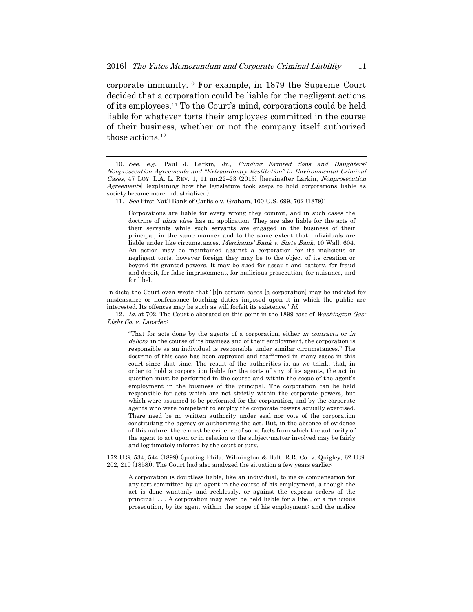corporate immunity.10 For example, in 1879 the Supreme Court decided that a corporation could be liable for the negligent actions of its employees.11 To the Court's mind, corporations could be held liable for whatever torts their employees committed in the course of their business, whether or not the company itself authorized those actions.12

Corporations are liable for every wrong they commit, and in such cases the doctrine of *ultra vires* has no application. They are also liable for the acts of their servants while such servants are engaged in the business of their principal, in the same manner and to the same extent that individuals are liable under like circumstances. Merchants' Bank v. State Bank, 10 Wall. 604. An action may be maintained against a corporation for its malicious or negligent torts, however foreign they may be to the object of its creation or beyond its granted powers. It may be sued for assault and battery, for fraud and deceit, for false imprisonment, for malicious prosecution, for nuisance, and for libel.

In dicta the Court even wrote that "[i]n certain cases [a corporation] may be indicted for misfeasance or nonfeasance touching duties imposed upon it in which the public are interested. Its offences may be such as will forfeit its existence." Id.

12. Id. at 702. The Court elaborated on this point in the 1899 case of *Washington Gas-*Light Co. v. Lansden:

"That for acts done by the agents of a corporation, either in contractu or in delicto, in the course of its business and of their employment, the corporation is responsible as an individual is responsible under similar circumstances." The doctrine of this case has been approved and reaffirmed in many cases in this court since that time. The result of the authorities is, as we think, that, in order to hold a corporation liable for the torts of any of its agents, the act in question must be performed in the course and within the scope of the agent's employment in the business of the principal. The corporation can be held responsible for acts which are not strictly within the corporate powers, but which were assumed to be performed for the corporation, and by the corporate agents who were competent to employ the corporate powers actually exercised. There need be no written authority under seal nor vote of the corporation constituting the agency or authorizing the act. But, in the absence of evidence of this nature, there must be evidence of some facts from which the authority of the agent to act upon or in relation to the subject-matter involved may be fairly and legitimately inferred by the court or jury.

172 U.S. 534, 544 (1899) (quoting Phila. Wilmington & Balt. R.R. Co. v. Quigley, 62 U.S. 202, 210 (1858)). The Court had also analyzed the situation a few years earlier:

A corporation is doubtless liable, like an individual, to make compensation for any tort committed by an agent in the course of his employment, although the act is done wantonly and recklessly, or against the express orders of the principal. . . . A corporation may even be held liable for a libel, or a malicious prosecution, by its agent within the scope of his employment; and the malice

<sup>10</sup>. See, e.g., Paul J. Larkin, Jr., Funding Favored Sons and Daughters: Nonprosecution Agreements and "Extraordinary Restitution" in Environmental Criminal Cases, 47 LOY. L.A. L. REV. 1, 11 nn.22–23 (2013) [hereinafter Larkin, Nonprosecution Agreements] (explaining how the legislature took steps to hold corporations liable as society became more industrialized).

<sup>11</sup>. See First Nat'l Bank of Carlisle v. Graham, 100 U.S. 699, 702 (1879):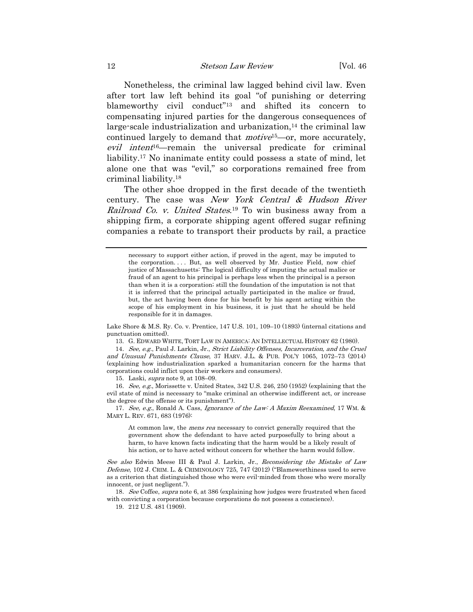Nonetheless, the criminal law lagged behind civil law. Even after tort law left behind its goal "of punishing or deterring blameworthy civil conduct"13 and shifted its concern to compensating injured parties for the dangerous consequences of large-scale industrialization and urbanization,<sup>14</sup> the criminal law continued largely to demand that  $motive^{15}$ —or, more accurately,  $evil$  intent<sup>16</sup>—remain the universal predicate for criminal liability.17 No inanimate entity could possess a state of mind, let alone one that was "evil," so corporations remained free from criminal liability.18

The other shoe dropped in the first decade of the twentieth century. The case was New York Central & Hudson River Railroad Co. v. United States.<sup>19</sup> To win business away from a shipping firm, a corporate shipping agent offered sugar refining companies a rebate to transport their products by rail, a practice

Lake Shore & M.S. Ry. Co. v. Prentice, 147 U.S. 101, 109–10 (1893) (internal citations and punctuation omitted).

13. G. EDWARD WHITE, TORT LAW IN AMERICA: AN INTELLECTUAL HISTORY 62 (1980).

14. See, e.g., Paul J. Larkin, Jr., Strict Liability Offenses, Incarceration, and the Cruel and Unusual Punishments Clause, 37 HARV. J.L. & PUB. POL'Y 1065, 1072–73 (2014) (explaining how industrialization sparked a humanitarian concern for the harms that corporations could inflict upon their workers and consumers).

15. Laski, supra note 9, at 108–09.

16. See, e.g., Morissette v. United States, 342 U.S. 246, 250 (1952) (explaining that the evil state of mind is necessary to "make criminal an otherwise indifferent act, or increase the degree of the offense or its punishment").

17. See, e.g., Ronald A. Cass, Ignorance of the Law: A Maxim Reexamined, 17 WM. & MARY L. REV. 671, 683 (1976):

At common law, the mens rea necessary to convict generally required that the government show the defendant to have acted purposefully to bring about a harm, to have known facts indicating that the harm would be a likely result of his action, or to have acted without concern for whether the harm would follow.

See also Edwin Meese III & Paul J. Larkin, Jr., Reconsidering the Mistake of Law Defense, 102 J. CRIM. L. & CRIMINOLOGY 725, 747 (2012) ("Blameworthiness used to serve as a criterion that distinguished those who were evil-minded from those who were morally innocent, or just negligent.").

18. See Coffee, supra note 6, at 386 (explaining how judges were frustrated when faced with convicting a corporation because corporations do not possess a conscience).

19. 212 U.S. 481 (1909).

necessary to support either action, if proved in the agent, may be imputed to the corporation. . . . But, as well observed by Mr. Justice Field, now chief justice of Massachusetts: The logical difficulty of imputing the actual malice or fraud of an agent to his principal is perhaps less when the principal is a person than when it is a corporation; still the foundation of the imputation is not that it is inferred that the principal actually participated in the malice or fraud, but, the act having been done for his benefit by his agent acting within the scope of his employment in his business, it is just that he should be held responsible for it in damages.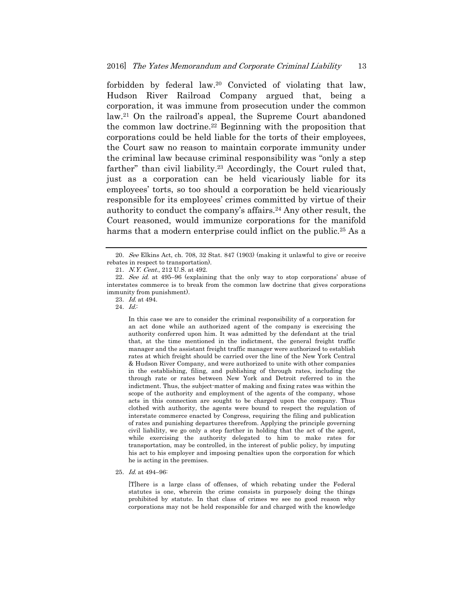forbidden by federal law.20 Convicted of violating that law, Hudson River Railroad Company argued that, being a corporation, it was immune from prosecution under the common law.21 On the railroad's appeal, the Supreme Court abandoned the common law doctrine.22 Beginning with the proposition that corporations could be held liable for the torts of their employees, the Court saw no reason to maintain corporate immunity under the criminal law because criminal responsibility was "only a step farther" than civil liability.<sup>23</sup> Accordingly, the Court ruled that, just as a corporation can be held vicariously liable for its employees' torts, so too should a corporation be held vicariously responsible for its employees' crimes committed by virtue of their authority to conduct the company's affairs.<sup>24</sup> Any other result, the Court reasoned, would immunize corporations for the manifold harms that a modern enterprise could inflict on the public.<sup>25</sup> As a

In this case we are to consider the criminal responsibility of a corporation for an act done while an authorized agent of the company is exercising the authority conferred upon him. It was admitted by the defendant at the trial that, at the time mentioned in the indictment, the general freight traffic manager and the assistant freight traffic manager were authorized to establish rates at which freight should be carried over the line of the New York Central & Hudson River Company, and were authorized to unite with other companies in the establishing, filing, and publishing of through rates, including the through rate or rates between New York and Detroit referred to in the indictment. Thus, the subject-matter of making and fixing rates was within the scope of the authority and employment of the agents of the company, whose acts in this connection are sought to be charged upon the company. Thus clothed with authority, the agents were bound to respect the regulation of interstate commerce enacted by Congress, requiring the filing and publication of rates and punishing departures therefrom. Applying the principle governing civil liability, we go only a step farther in holding that the act of the agent, while exercising the authority delegated to him to make rates for transportation, may be controlled, in the interest of public policy, by imputing his act to his employer and imposing penalties upon the corporation for which he is acting in the premises.

25. Id. at 494–96:

[T]here is a large class of offenses, of which rebating under the Federal statutes is one, wherein the crime consists in purposely doing the things prohibited by statute. In that class of crimes we see no good reason why corporations may not be held responsible for and charged with the knowledge

<sup>20</sup>. See Elkins Act, ch. 708, 32 Stat. 847 (1903) (making it unlawful to give or receive rebates in respect to transportation).

<sup>21</sup>. N.Y. Cent., 212 U.S. at 492.

<sup>22</sup>. See id. at 495–96 (explaining that the only way to stop corporations' abuse of interstates commerce is to break from the common law doctrine that gives corporations immunity from punishment).

<sup>23</sup>. Id. at 494.

<sup>24</sup>. Id.: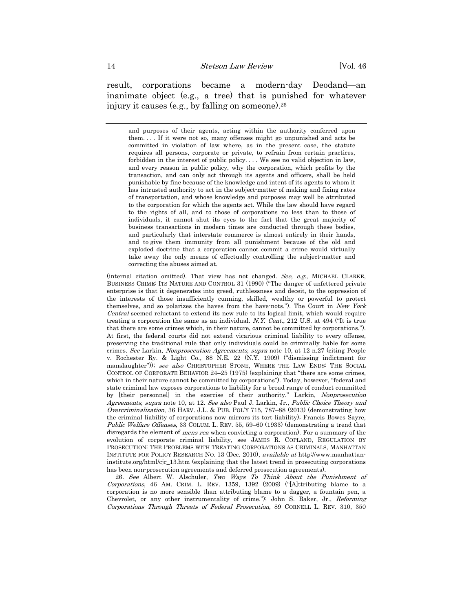result, corporations became a modern-day Deodand—an inanimate object (e.g., a tree) that is punished for whatever injury it causes (e.g., by falling on someone).26

and purposes of their agents, acting within the authority conferred upon them. . . . If it were not so, many offenses might go unpunished and acts be committed in violation of law where, as in the present case, the statute requires all persons, corporate or private, to refrain from certain practices, forbidden in the interest of public policy. . . . We see no valid objection in law, and every reason in public policy, why the corporation, which profits by the transaction, and can only act through its agents and officers, shall be held punishable by fine because of the knowledge and intent of its agents to whom it has intrusted authority to act in the subject-matter of making and fixing rates of transportation, and whose knowledge and purposes may well be attributed to the corporation for which the agents act. While the law should have regard to the rights of all, and to those of corporations no less than to those of individuals, it cannot shut its eyes to the fact that the great majority of business transactions in modern times are conducted through these bodies, and particularly that interstate commerce is almost entirely in their hands, and to give them immunity from all punishment because of the old and exploded doctrine that a corporation cannot commit a crime would virtually take away the only means of effectually controlling the subject-matter and correcting the abuses aimed at.

(internal citation omitted). That view has not changed. See, e.g., MICHAEL CLARKE, BUSINESS CRIME: ITS NATURE AND CONTROL 31 (1990) ("The danger of unfettered private enterprise is that it degenerates into greed, ruthlessness and deceit, to the oppression of the interests of those insufficiently cunning, skilled, wealthy or powerful to protect themselves, and so polarizes the haves from the have-nots."). The Court in New York Central seemed reluctant to extend its new rule to its logical limit, which would require treating a corporation the same as an individual.  $N. Y.$  Cent., 212 U.S. at 494 ("It is true that there are some crimes which, in their nature, cannot be committed by corporations."). At first, the federal courts did not extend vicarious criminal liability to every offense, preserving the traditional rule that only individuals could be criminally liable for some crimes. See Larkin, Nonprosecution Agreements, supra note 10, at 12 n.27 (citing People v. Rochester Ry. & Light Co., 88 N.E. 22 (N.Y. 1909) ("dismissing indictment for manslaughter")); see also CHRISTOPHER STONE, WHERE THE LAW ENDS: THE SOCIAL CONTROL OF CORPORATE BEHAVIOR 24–25 (1975) (explaining that "there are some crimes, which in their nature cannot be committed by corporations"). Today, however, "federal and state criminal law exposes corporations to liability for a broad range of conduct committed by [their personnel] in the exercise of their authority." Larkin, Nonprosecution Agreements, supra note 10, at 12. See also Paul J. Larkin, Jr., Public Choice Theory and Overcriminalization, 36 HARV. J.L. & PUB. POL'Y 715, 787–88 (2013) (demonstrating how the criminal liability of corporations now mirrors its tort liability); Francis Bowes Sayre, Public Welfare Offenses, 33 COLUM. L. REV. 55, 59–60 (1933) (demonstrating a trend that disregards the element of *mens rea* when convicting a corporation). For a summary of the evolution of corporate criminal liability, see JAMES R. COPLAND, REGULATION BY PROSECUTION: THE PROBLEMS WITH TREATING CORPORATIONS AS CRIMINALS, MANHATTAN INSTITUTE FOR POLICY RESEARCH NO. 13 (Dec. 2010), available at http://www.manhattaninstitute.org/html/cjr\_13.htm (explaining that the latest trend in prosecuting corporations has been non-prosecution agreements and deferred prosecution agreements).

26. See Albert W. Alschuler, Two Ways To Think About the Punishment of Corporations, 46 AM. CRIM. L. REV. 1359, 1392 (2009) ("[A]ttributing blame to a corporation is no more sensible than attributing blame to a dagger, a fountain pen, a Chevrolet, or any other instrumentality of crime."); John S. Baker, Jr., Reforming Corporations Through Threats of Federal Prosecution, 89 CORNELL L. REV. 310, 350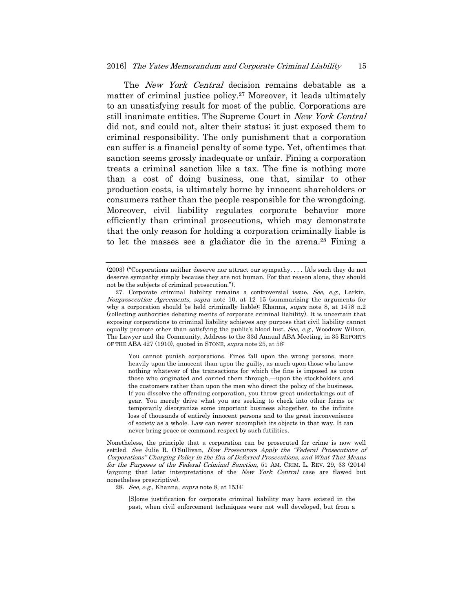The New York Central decision remains debatable as a matter of criminal justice policy.27 Moreover, it leads ultimately to an unsatisfying result for most of the public. Corporations are still inanimate entities. The Supreme Court in New York Central did not, and could not, alter their status; it just exposed them to criminal responsibility. The only punishment that a corporation can suffer is a financial penalty of some type. Yet, oftentimes that sanction seems grossly inadequate or unfair. Fining a corporation treats a criminal sanction like a tax. The fine is nothing more than a cost of doing business, one that, similar to other production costs, is ultimately borne by innocent shareholders or consumers rather than the people responsible for the wrongdoing. Moreover, civil liability regulates corporate behavior more efficiently than criminal prosecutions, which may demonstrate that the only reason for holding a corporation criminally liable is to let the masses see a gladiator die in the arena.<sup>28</sup> Fining a

You cannot punish corporations. Fines fall upon the wrong persons, more heavily upon the innocent than upon the guilty, as much upon those who know nothing whatever of the transactions for which the fine is imposed as upon those who originated and carried them through,—upon the stockholders and the customers rather than upon the men who direct the policy of the business. If you dissolve the offending corporation, you throw great undertakings out of gear. You merely drive what you are seeking to check into other forms or temporarily disorganize some important business altogether, to the infinite loss of thousands of entirely innocent persons and to the great inconvenience of society as a whole. Law can never accomplish its objects in that way. It can never bring peace or command respect by such futilities.

Nonetheless, the principle that a corporation can be prosecuted for crime is now well settled. See Julie R. O'Sullivan, How Prosecutors Apply the "Federal Prosecutions of Corporations" Charging Policy in the Era of Deferred Prosecutions, and What That Means for the Purposes of the Federal Criminal Sanction, 51 AM. CRIM. L. REV. 29, 33 (2014) (arguing that later interpretations of the New York Central case are flawed but nonetheless prescriptive).

28. See, e.g., Khanna, *supra* note 8, at 1534:

[S]ome justification for corporate criminal liability may have existed in the past, when civil enforcement techniques were not well developed, but from a

<sup>(2003) (&</sup>quot;Corporations neither deserve nor attract our sympathy. . . . [A]s such they do not deserve sympathy simply because they are not human. For that reason alone, they should not be the subjects of criminal prosecution.").

<sup>27.</sup> Corporate criminal liability remains a controversial issue. See, e.g., Larkin, Nonprosecution Agreements, supra note 10, at 12–15 (summarizing the arguments for why a corporation should be held criminally liable); Khanna, *supra* note 8, at 1478 n.2 (collecting authorities debating merits of corporate criminal liability). It is uncertain that exposing corporations to criminal liability achieves any purpose that civil liability cannot equally promote other than satisfying the public's blood lust. See, e.g., Woodrow Wilson, The Lawyer and the Community, Address to the 33d Annual ABA Meeting, in 35 REPORTS OF THE ABA 427 (1910), quoted in STONE, supra note 25, at 58: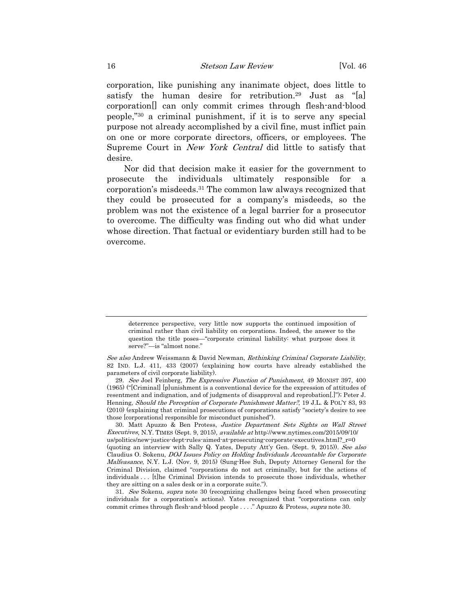corporation, like punishing any inanimate object, does little to satisfy the human desire for retribution.<sup>29</sup> Just as "[a] corporation[] can only commit crimes through flesh-and-blood people,"30 a criminal punishment, if it is to serve any special purpose not already accomplished by a civil fine, must inflict pain on one or more corporate directors, officers, or employees. The Supreme Court in New York Central did little to satisfy that desire.

Nor did that decision make it easier for the government to prosecute the individuals ultimately responsible for a corporation's misdeeds.31 The common law always recognized that they could be prosecuted for a company's misdeeds, so the problem was not the existence of a legal barrier for a prosecutor to overcome. The difficulty was finding out who did what under whose direction. That factual or evidentiary burden still had to be overcome.

 30. Matt Apuzzo & Ben Protess, Justice Department Sets Sights on Wall Street Executives, N.Y. TIMES (Sept. 9, 2015), available at http://www.nytimes.com/2015/09/10/ us/politics/new-justice-dept-rules-aimed-at-prosecuting-corporate-executives.html?\_r=0 (quoting an interview with Sally Q. Yates, Deputy Att'y Gen. (Sept. 9, 2015)). See also Claudius O. Sokenu, DOJ Issues Policy on Holding Individuals Accountable for Corporate Malfeasance, N.Y. L.J. (Nov. 9, 2015) (Sung-Hee Suh, Deputy Attorney General for the Criminal Division, claimed "corporations do not act criminally, but for the actions of individuals . . . [t]he Criminal Division intends to prosecute those individuals, whether they are sitting on a sales desk or in a corporate suite.").

 31. See Sokenu, supra note 30 (recognizing challenges being faced when prosecuting individuals for a corporation's actions). Yates recognized that "corporations can only commit crimes through flesh-and-blood people . . . ." Apuzzo & Protess, supra note 30.

deterrence perspective, very little now supports the continued imposition of criminal rather than civil liability on corporations. Indeed, the answer to the question the title poses—"corporate criminal liability: what purpose does it serve?"-is "almost none."

See also Andrew Weissmann & David Newman, Rethinking Criminal Corporate Liability, 82 IND. L.J. 411, 433 (2007) (explaining how courts have already established the parameters of civil corporate liability).

<sup>29</sup>. See Joel Feinberg, The Expressive Function of Punishment, 49 MONIST 397, 400 (1965) ("[Criminal] [p]unishment is a conventional device for the expression of attitudes of resentment and indignation, and of judgments of disapproval and reprobation[.]"); Peter J. Henning, Should the Perception of Corporate Punishment Matter?, 19 J.L. & POL'Y 83, 93 (2010) (explaining that criminal prosecutions of corporations satisfy "society's desire to see those [corporations] responsible for misconduct punished").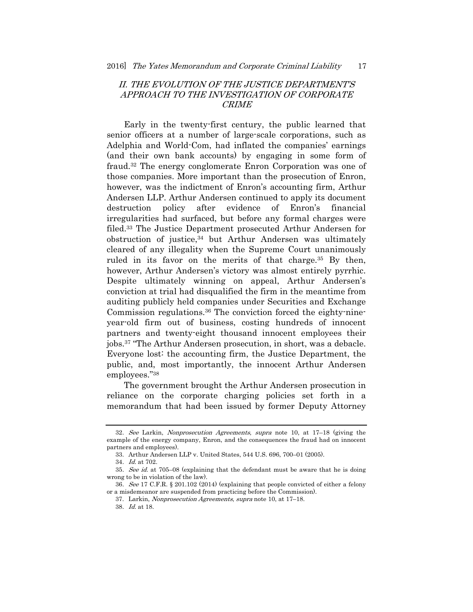## II. THE EVOLUTION OF THE JUSTICE DEPARTMENT'S APPROACH TO THE INVESTIGATION OF CORPORATE CRIME

Early in the twenty-first century, the public learned that senior officers at a number of large-scale corporations, such as Adelphia and World-Com, had inflated the companies' earnings (and their own bank accounts) by engaging in some form of fraud.32 The energy conglomerate Enron Corporation was one of those companies. More important than the prosecution of Enron, however, was the indictment of Enron's accounting firm, Arthur Andersen LLP. Arthur Andersen continued to apply its document destruction policy after evidence of Enron's financial irregularities had surfaced, but before any formal charges were filed.33 The Justice Department prosecuted Arthur Andersen for obstruction of justice,34 but Arthur Andersen was ultimately cleared of any illegality when the Supreme Court unanimously ruled in its favor on the merits of that charge.<sup>35</sup> By then, however, Arthur Andersen's victory was almost entirely pyrrhic. Despite ultimately winning on appeal, Arthur Andersen's conviction at trial had disqualified the firm in the meantime from auditing publicly held companies under Securities and Exchange Commission regulations.36 The conviction forced the eighty-nineyear-old firm out of business, costing hundreds of innocent partners and twenty-eight thousand innocent employees their jobs.37 "The Arthur Andersen prosecution, in short, was a debacle. Everyone lost: the accounting firm, the Justice Department, the public, and, most importantly, the innocent Arthur Andersen employees."38

The government brought the Arthur Andersen prosecution in reliance on the corporate charging policies set forth in a memorandum that had been issued by former Deputy Attorney

<sup>32</sup>. See Larkin, Nonprosecution Agreements, supra note 10, at 17–18 (giving the example of the energy company, Enron, and the consequences the fraud had on innocent partners and employees).

 <sup>33.</sup> Arthur Andersen LLP v. United States, 544 U.S. 696, 700–01 (2005).

<sup>34</sup>. Id. at 702.

<sup>35</sup>. See id. at 705–08 (explaining that the defendant must be aware that he is doing wrong to be in violation of the law).

<sup>36</sup>. See 17 C.F.R. § 201.102 (2014) (explaining that people convicted of either a felony or a misdemeanor are suspended from practicing before the Commission).

 <sup>37.</sup> Larkin, Nonprosecution Agreements, supra note 10, at 17–18.

<sup>38</sup>. Id. at 18.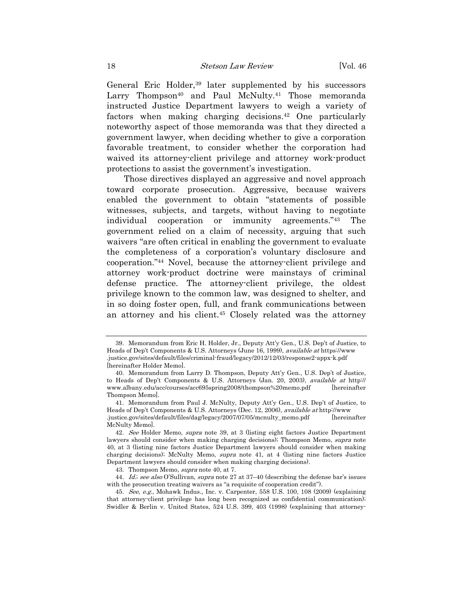General Eric Holder,<sup>39</sup> later supplemented by his successors Larry Thompson<sup>40</sup> and Paul McNulty.<sup>41</sup> Those memoranda instructed Justice Department lawyers to weigh a variety of factors when making charging decisions.42 One particularly noteworthy aspect of those memoranda was that they directed a government lawyer, when deciding whether to give a corporation favorable treatment, to consider whether the corporation had waived its attorney-client privilege and attorney work-product protections to assist the government's investigation.

Those directives displayed an aggressive and novel approach toward corporate prosecution. Aggressive, because waivers enabled the government to obtain "statements of possible witnesses, subjects, and targets, without having to negotiate individual cooperation or immunity agreements."43 The government relied on a claim of necessity, arguing that such waivers "are often critical in enabling the government to evaluate the completeness of a corporation's voluntary disclosure and cooperation."44 Novel, because the attorney-client privilege and attorney work-product doctrine were mainstays of criminal defense practice. The attorney-client privilege, the oldest privilege known to the common law, was designed to shelter, and in so doing foster open, full, and frank communications between an attorney and his client.45 Closely related was the attorney

 <sup>39.</sup> Memorandum from Eric H. Holder, Jr., Deputy Att'y Gen., U.S. Dep't of Justice, to Heads of Dep't Components & U.S. Attorneys (June 16, 1999), available at https://www .justice.gov/sites/default/files/criminal-fraud/legacy/2012/12/03/response2-appx-k.pdf [hereinafter Holder Memo].

 <sup>40.</sup> Memorandum from Larry D. Thompson, Deputy Att'y Gen., U.S. Dep't of Justice, to Heads of Dep't Components & U.S. Attorneys (Jan. 20, 2003), available at http:// www.albany.edu/acc/courses/acc695spring2008/thompson%20memo.pdf [hereinafter Thompson Memo].

 <sup>41.</sup> Memorandum from Paul J. McNulty, Deputy Att'y Gen., U.S. Dep't of Justice, to Heads of Dep't Components & U.S. Attorneys (Dec. 12, 2006), available at http://www .justice.gov/sites/default/files/dag/legacy/2007/07/05/mcnulty\_memo.pdf [hereinafter McNulty Memo].

<sup>42</sup>. See Holder Memo, supra note 39, at 3 (listing eight factors Justice Department lawyers should consider when making charging decisions); Thompson Memo, *supra* note 40, at 3 (listing nine factors Justice Department lawyers should consider when making charging decisions); McNulty Memo, supra note 41, at 4 (listing nine factors Justice Department lawyers should consider when making charging decisions).

 <sup>43.</sup> Thompson Memo, supra note 40, at 7.

<sup>44</sup>. Id.; see also O'Sullivan, supra note 27 at 37–40 (describing the defense bar's issues with the prosecution treating waivers as "a requisite of cooperation credit").

<sup>45</sup>. See, e.g., Mohawk Indus., Inc. v. Carpenter, 558 U.S. 100, 108 (2009) (explaining that attorney-client privilege has long been recognized as confidential communication); Swidler & Berlin v. United States, 524 U.S. 399, 403 (1998) (explaining that attorney-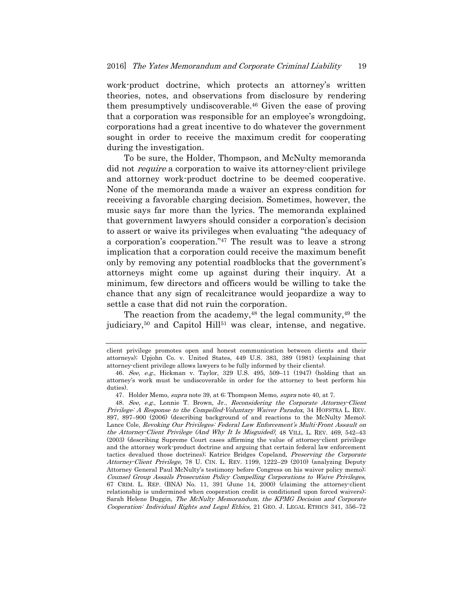work-product doctrine, which protects an attorney's written theories, notes, and observations from disclosure by rendering them presumptively undiscoverable.46 Given the ease of proving that a corporation was responsible for an employee's wrongdoing, corporations had a great incentive to do whatever the government sought in order to receive the maximum credit for cooperating during the investigation.

To be sure, the Holder, Thompson, and McNulty memoranda did not *require* a corporation to waive its attorney-client privilege and attorney work-product doctrine to be deemed cooperative. None of the memoranda made a waiver an express condition for receiving a favorable charging decision. Sometimes, however, the music says far more than the lyrics. The memoranda explained that government lawyers should consider a corporation's decision to assert or waive its privileges when evaluating "the adequacy of a corporation's cooperation."47 The result was to leave a strong implication that a corporation could receive the maximum benefit only by removing any potential roadblocks that the government's attorneys might come up against during their inquiry. At a minimum, few directors and officers would be willing to take the chance that any sign of recalcitrance would jeopardize a way to settle a case that did not ruin the corporation.

The reaction from the academy, $48$  the legal community, $49$  the judiciary,<sup>50</sup> and Capitol Hill<sup>51</sup> was clear, intense, and negative.

client privilege promotes open and honest communication between clients and their attorneys); Upjohn Co. v. United States, 449 U.S. 383, 389 (1981) (explaining that attorney-client privilege allows lawyers to be fully informed by their clients).

<sup>46</sup>. See, e.g., Hickman v. Taylor, 329 U.S. 495, 509–11 (1947) (holding that an attorney's work must be undiscoverable in order for the attorney to best perform his duties).

 <sup>47.</sup> Holder Memo, supra note 39, at 6; Thompson Memo, supra note 40, at 7.

<sup>48</sup>. See, e.g., Lonnie T. Brown, Jr., Reconsidering the Corporate Attorney-Client Privilege: A Response to the Compelled-Voluntary Waiver Paradox, 34 HOFSTRA L. REV. 897, 897–900 (2006) (describing background of and reactions to the McNulty Memo); Lance Cole, Revoking Our Privileges: Federal Law Enforcement's Multi-Front Assault on the Attorney-Client Privilege (And Why It Is Misguided), 48 VILL. L. REV. 469, 542–43 (2003) (describing Supreme Court cases affirming the value of attorney-client privilege and the attorney work-product doctrine and arguing that certain federal law enforcement tactics devalued those doctrines); Katrice Bridges Copeland, Preserving the Corporate Attorney-Client Privilege, 78 U. CIN. L. REV. 1199, 1222–29 (2010) (analyzing Deputy Attorney General Paul McNulty's testimony before Congress on his waiver policy memo); Counsel Group Assails Prosecution Policy Compelling Corporations to Waive Privileges, 67 CRIM. L. REP. (BNA) No. 11, 391 (June 14, 2000) (claiming the attorney-client relationship is undermined when cooperation credit is conditioned upon forced waivers); Sarah Helene Duggin, The McNulty Memorandum, the KPMG Decision and Corporate Cooperation: Individual Rights and Legal Ethics, 21 GEO. J. LEGAL ETHICS 341, 356–72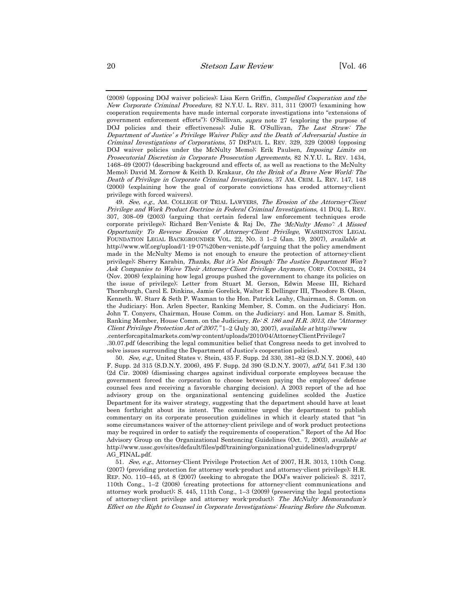(2008) (opposing DOJ waiver policies); Lisa Kern Griffin, Compelled Cooperation and the New Corporate Criminal Procedure, 82 N.Y.U. L. REV. 311, 311 (2007) (examining how cooperation requirements have made internal corporate investigations into "extensions of government enforcement efforts"); O'Sullivan, supra note 27 (exploring the purpose of DOJ policies and their effectiveness); Julie R. O'Sullivan, The Last Straw: The Department of Justice' s Privilege Waiver Policy and the Death of Adversarial Justice in Criminal Investigations of Corporations, 57 DEPAUL L. REV. 329, 329 (2008) (opposing DOJ waiver policies under the McNulty Memo); Erik Paulsen, Imposing Limits on Prosecutorial Discretion in Corporate Prosecution Agreements, 82 N.Y.U. L. REV. 1434, 1468–69 (2007) (describing background and effects of, as well as reactions to the McNulty Memo); David M. Zornow & Keith D. Krakaur, On the Brink of a Brave New World: The Death of Privilege in Corporate Criminal Investigations, 37 AM. CRIM. L. REV. 147, 148 (2000) (explaining how the goal of corporate convictions has eroded attorney-client privilege with forced waivers).

49. See, e.g., AM. COLLEGE OF TRIAL LAWYERS, The Erosion of the Attorney-Client Privilege and Work Product Doctrine in Federal Criminal Investigations, 41 DUQ. L. REV. 307, 308–09 (2003) (arguing that certain federal law enforcement techniques erode corporate privilege); Richard Ben-Veniste & Raj De, The 'McNulty Memo': A Missed Opportunity To Reverse Erosion Of Attorney-Client Privilege, WASHINGTON LEGAL FOUNDATION LEGAL BACKGROUNDER VOL. 22, NO. 3 1–2 (Jan. 19, 2007), available at http://www.wlf.org/upload/1-19-07%20ben-veniste.pdf (arguing that the policy amendment made in the McNulty Memo is not enough to ensure the protection of attorney-client privilege); Sherry Karabin, Thanks, But it's Not Enough: The Justice Department Won't Ask Companies to Waive Their Attorney-Client Privilege Anymore, CORP. COUNSEL, 24 (Nov. 2008) (explaining how legal groups pushed the government to change its policies on the issue of privilege); Letter from Stuart M. Gerson, Edwin Meese III, Richard Thornburgh, Carol E. Dinkins, Jamie Gorelick, Walter E Dellinger III, Theodore B. Olson, Kenneth. W. Starr & Seth P. Waxman to the Hon. Patrick Leahy, Chairman, S. Comm. on the Judiciary; Hon. Arlen Specter, Ranking Member, S. Comm. on the Judiciary; Hon. John T. Conyers, Chairman, House Comm. on the Judiciary; and Hon. Lamar S. Smith, Ranking Member, House Comm. on the Judiciary, Re: S. 186 and H.R. 3013, the "Attorney Client Privilege Protection Act of 2007," 1–2 (July 30, 2007), available at http://www .centerforcapitalmarkets.com/wp-content/uploads/2010/04/AttorneyClientPrivilege7

.30.07.pdf (describing the legal communities belief that Congress needs to get involved to solve issues surrounding the Department of Justice's cooperation policies).

50. See, e.g., United States v. Stein, 435 F. Supp. 2d 330, 381–82 (S.D.N.Y. 2006), 440 F. Supp. 2d 315 (S.D.N.Y. 2006), 495 F. Supp. 2d 390 (S.D.N.Y. 2007), aff'd, 541 F.3d 130 (2d Cir. 2008) (dismissing charges against individual corporate employees because the government forced the corporation to choose between paying the employees' defense counsel fees and receiving a favorable charging decision). A 2003 report of the ad hoc advisory group on the organizational sentencing guidelines scolded the Justice Department for its waiver strategy, suggesting that the department should have at least been forthright about its intent. The committee urged the department to publish commentary on its corporate prosecution guidelines in which it clearly stated that "in some circumstances waiver of the attorney-client privilege and of work product protections may be required in order to satisfy the requirements of cooperation." Report of the Ad Hoc Advisory Group on the Organizational Sentencing Guidelines (Oct. 7, 2003), *available at* http://www.ussc.gov/sites/default/files/pdf/training/organizational-guidelines/advgrprpt/ AG\_FINAL.pdf.

51. See, e.g., Attorney-Client Privilege Protection Act of 2007, H.R. 3013, 110th Cong. (2007) (providing protection for attorney work-product and attorney-client privilege); H.R. REP. NO. 110–445, at 8 (2007) (seeking to abrogate the DOJ's waiver policies); S. 3217, 110th Cong., 1–2 (2008) (creating protections for attorney-client communications and attorney work product); S. 445, 111th Cong., 1–3 (2009) (preserving the legal protections of attorney-client privilege and attorney work-product); The McNulty Memorandum's Effect on the Right to Counsel in Corporate Investigations: Hearing Before the Subcomm.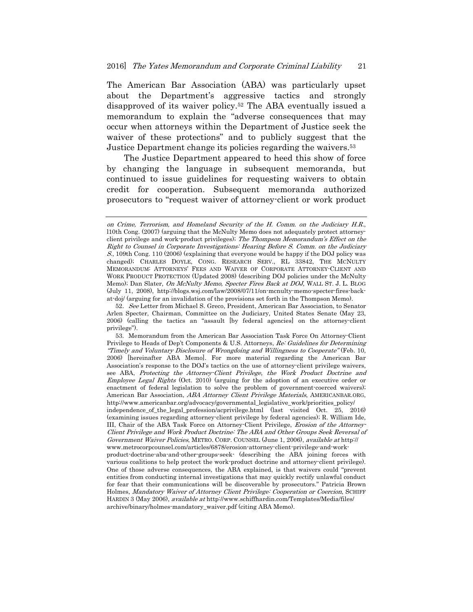The American Bar Association (ABA) was particularly upset about the Department's aggressive tactics and strongly disapproved of its waiver policy.52 The ABA eventually issued a memorandum to explain the "adverse consequences that may occur when attorneys within the Department of Justice seek the waiver of these protections" and to publicly suggest that the Justice Department change its policies regarding the waivers.53

The Justice Department appeared to heed this show of force by changing the language in subsequent memoranda, but continued to issue guidelines for requesting waivers to obtain credit for cooperation. Subsequent memoranda authorized prosecutors to "request waiver of attorney-client or work product

on Crime, Terrorism, and Homeland Security of the H. Comm. on the Judiciary H.R., l10th Cong. (2007) (arguing that the McNulty Memo does not adequately protect attorneyclient privilege and work-product privileges); The Thompson Memorandum's Effect on the Right to Counsel in Corporate Investigations: Hearing Before S. Comm. on the Judiciary S., 109th Cong. 110 (2006) (explaining that everyone would be happy if the DOJ policy was changed); CHARLES DOYLE, CONG. RESEARCH SERV., RL 33842, THE MCNULTY MEMORANDUM: ATTORNEYS' FEES AND WAIVER OF CORPORATE ATTORNEY-CLIENT AND WORK PRODUCT PROTECTION (Updated 2008) (describing DOJ policies under the McNulty Memo); Dan Slater, On McNulty Memo, Specter Fires Back at DOJ, WALL ST. J. L. BLOG (July 11, 2008), http://blogs.wsj.com/law/2008/07/11/on-mcnulty-memo-specter-fires-backat-doj/ (arguing for an invalidation of the provisions set forth in the Thompson Memo).

<sup>52</sup>. See Letter from Michael S. Greco, President, American Bar Association, to Senator Arlen Specter, Chairman, Committee on the Judiciary, United States Senate (May 23, 2006) (calling the tactics an "assault [by federal agencies] on the attorney-client privilege").

 <sup>53.</sup> Memorandum from the American Bar Association Task Force On Attorney-Client Privilege to Heads of Dep't Components & U.S. Attorneys, Re: Guidelines for Determining "Timely and Voluntary Disclosure of Wrongdoing and Willingness to Cooperate" (Feb. 10, 2006) [hereinafter ABA Memo]. For more material regarding the American Bar Association's response to the DOJ's tactics on the use of attorney-client privilege waivers, see ABA, Protecting the Attorney-Client Privilege, the Work Product Doctrine and Employee Legal Rights (Oct. 2010) (arguing for the adoption of an executive order or enactment of federal legislation to solve the problem of government-coerced waivers); American Bar Association, ABA Attorney Client Privilege Materials, AMERICANBAR.ORG, http://www.americanbar.org/advocacy/governmental\_legislative\_work/priorities\_policy/ independence of the legal profession/acprivilege.html (last visited Oct. 25, 2016)

<sup>(</sup>examining issues regarding attorney-client privilege by federal agencies); R. William Ide, III, Chair of the ABA Task Force on Attorney-Client Privilege, Erosion of the Attorney-Client Privilege and Work Product Doctrine: The ABA and Other Groups Seek Reversal of Government Waiver Policies, METRO. CORP. COUNSEL (June 1, 2006), available at http:// www.metrocorpcounsel.com/articles/6878/erosion-attorney-client-privilege-and-work-

product-doctrine-aba-and-other-groups-seek- (describing the ABA joining forces with various coalitions to help protect the work-product doctrine and attorney-client privilege). One of those adverse consequences, the ABA explained, is that waivers could "prevent entities from conducting internal investigations that may quickly rectify unlawful conduct for fear that their communications will be discoverable by prosecutors." Patricia Brown Holmes, Mandatory Waiver of Attorney Client Privilege: Cooperation or Coercion, SCHIFF HARDIN 3 (May 2006), available at http://www.schiffhardin.com/Templates/Media/files/ archive/binary/holmes-mandatory\_waiver.pdf (citing ABA Memo).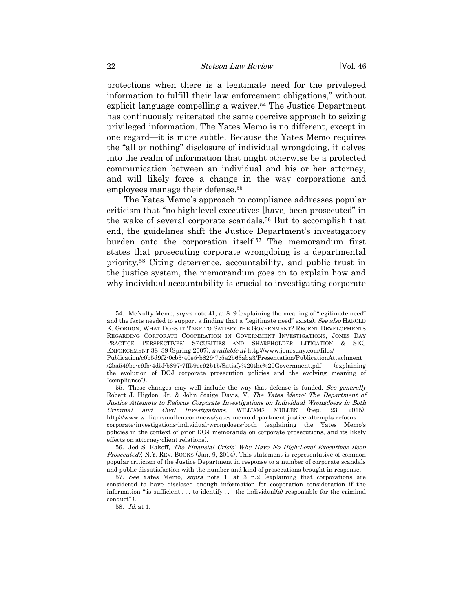protections when there is a legitimate need for the privileged information to fulfill their law enforcement obligations," without explicit language compelling a waiver.<sup>54</sup> The Justice Department has continuously reiterated the same coercive approach to seizing privileged information. The Yates Memo is no different, except in one regard—it is more subtle. Because the Yates Memo requires the "all or nothing" disclosure of individual wrongdoing, it delves into the realm of information that might otherwise be a protected communication between an individual and his or her attorney, and will likely force a change in the way corporations and employees manage their defense.<sup>55</sup>

The Yates Memo's approach to compliance addresses popular criticism that "no high-level executives [have] been prosecuted" in the wake of several corporate scandals.<sup>56</sup> But to accomplish that end, the guidelines shift the Justice Department's investigatory burden onto the corporation itself.57 The memorandum first states that prosecuting corporate wrongdoing is a departmental priority.58 Citing deterrence, accountability, and public trust in the justice system, the memorandum goes on to explain how and why individual accountability is crucial to investigating corporate

 <sup>54.</sup> McNulty Memo, supra note 41, at 8–9 (explaining the meaning of "legitimate need" and the facts needed to support a finding that a "legitimate need" exists). See also HAROLD K. GORDON, WHAT DOES IT TAKE TO SATISFY THE GOVERNMENT? RECENT DEVELOPMENTS REGARDING CORPORATE COOPERATION IN GOVERNMENT INVESTIGATIONS, JONES DAY PRACTICE PERSPECTIVES: SECURITIES AND SHAREHOLDER LITIGATION & SEC ENFORCEMENT 38–39 (Spring 2007), available at http://www.jonesday.com/files/

Publication/c0b5d9f2-0cb3-40e5-b829-7c5a2b63aba3/Presentation/PublicationAttachment /2ba549be-e9fb-4d5f-b897-7ff59ee92b1b/Satisfy%20the%20Government.pdf (explaining the evolution of DOJ corporate prosecution policies and the evolving meaning of "compliance").

<sup>55.</sup> These changes may well include the way that defense is funded. See generally Robert J. Higdon, Jr. & John Staige Davis, V, The Yates Memo: The Department of Justice Attempts to Refocus Corporate Investigations on Individual Wrongdoers in Both Criminal and Civil Investigations, WILLIAMS MULLEN (Sep. 23, 2015), http://www.williamsmullen.com/news/yates-memo-department-justice-attempts-refocuscorporate-investigations-individual-wrongdoers-both (explaining the Yates Memo's policies in the context of prior DOJ memoranda on corporate prosecutions, and its likely effects on attorney-client relations).

 <sup>56.</sup> Jed S. Rakoff, The Financial Crisis: Why Have No High-Level Executives Been Prosecuted?, N.Y. REV. BOOKS (Jan. 9, 2014). This statement is representative of common popular criticism of the Justice Department in response to a number of corporate scandals and public dissatisfaction with the number and kind of prosecutions brought in response.

<sup>57</sup>. See Yates Memo, supra note 1, at 3 n.2 (explaining that corporations are considered to have disclosed enough information for cooperation consideration if the information "'is sufficient . . . to identify . . . the individual(s) responsible for the criminal conduct'").

<sup>58</sup>. Id. at 1.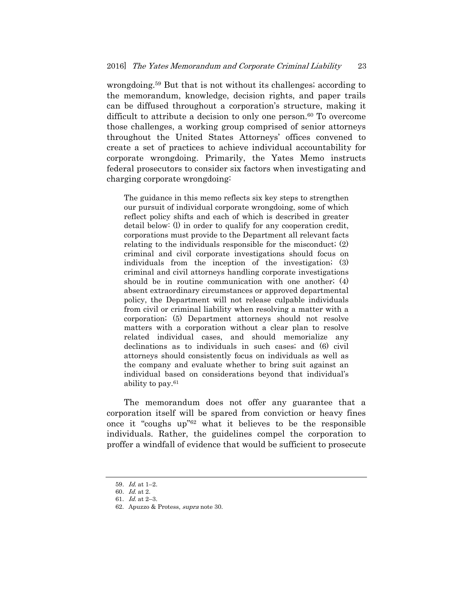wrongdoing.59 But that is not without its challenges; according to the memorandum, knowledge, decision rights, and paper trails can be diffused throughout a corporation's structure, making it difficult to attribute a decision to only one person.<sup>60</sup> To overcome those challenges, a working group comprised of senior attorneys throughout the United States Attorneys' offices convened to create a set of practices to achieve individual accountability for corporate wrongdoing. Primarily, the Yates Memo instructs federal prosecutors to consider six factors when investigating and charging corporate wrongdoing:

The guidance in this memo reflects six key steps to strengthen our pursuit of individual corporate wrongdoing, some of which reflect policy shifts and each of which is described in greater detail below: (l) in order to qualify for any cooperation credit, corporations must provide to the Department all relevant facts relating to the individuals responsible for the misconduct; (2) criminal and civil corporate investigations should focus on individuals from the inception of the investigation; (3) criminal and civil attorneys handling corporate investigations should be in routine communication with one another; (4) absent extraordinary circumstances or approved departmental policy, the Department will not release culpable individuals from civil or criminal liability when resolving a matter with a corporation; (5) Department attorneys should not resolve matters with a corporation without a clear plan to resolve related individual cases, and should memorialize any declinations as to individuals in such cases; and (6) civil attorneys should consistently focus on individuals as well as the company and evaluate whether to bring suit against an individual based on considerations beyond that individual's ability to pay.61

The memorandum does not offer any guarantee that a corporation itself will be spared from conviction or heavy fines once it "coughs up"62 what it believes to be the responsible individuals. Rather, the guidelines compel the corporation to proffer a windfall of evidence that would be sufficient to prosecute

<sup>59</sup>. Id. at 1–2.

<sup>60</sup>. Id. at 2.

 <sup>61.</sup> Id. at 2–3.

 <sup>62.</sup> Apuzzo & Protess, supra note 30.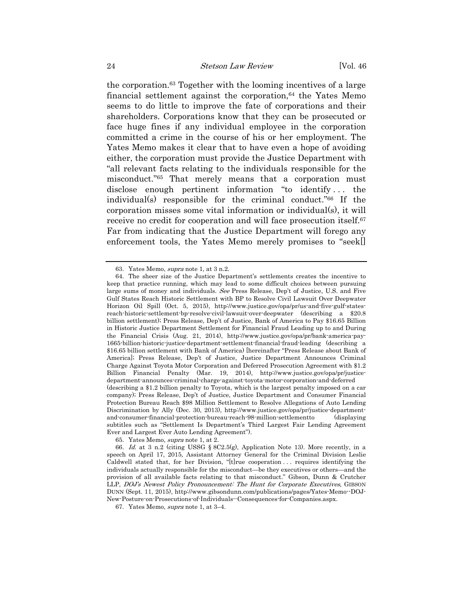the corporation.63 Together with the looming incentives of a large financial settlement against the corporation,64 the Yates Memo seems to do little to improve the fate of corporations and their shareholders. Corporations know that they can be prosecuted or face huge fines if any individual employee in the corporation committed a crime in the course of his or her employment. The Yates Memo makes it clear that to have even a hope of avoiding either, the corporation must provide the Justice Department with "all relevant facts relating to the individuals responsible for the misconduct."65 That merely means that a corporation must disclose enough pertinent information "to identify . . . the individual(s) responsible for the criminal conduct."66 If the corporation misses some vital information or individual(s), it will receive no credit for cooperation and will face prosecution itself.<sup>67</sup> Far from indicating that the Justice Department will forego any enforcement tools, the Yates Memo merely promises to "seek[]

subtitles such as "Settlement Is Department's Third Largest Fair Lending Agreement Ever and Largest Ever Auto Lending Agreement").

65. Yates Memo, supra note 1, at 2.

 <sup>63.</sup> Yates Memo, supra note 1, at 3 n.2.

 <sup>64.</sup> The sheer size of the Justice Department's settlements creates the incentive to keep that practice running, which may lead to some difficult choices between pursuing large sums of money and individuals. See Press Release, Dep't of Justice, U.S. and Five Gulf States Reach Historic Settlement with BP to Resolve Civil Lawsuit Over Deepwater Horizon Oil Spill (Oct. 5, 2015), http://www.justice.gov/opa/pr/us-and-five-gulf-statesreach-historic-settlement-bp-resolve-civil-lawsuit-over-deepwater (describing a \$20.8 billion settlement); Press Release, Dep't of Justice, Bank of America to Pay \$16.65 Billion in Historic Justice Department Settlement for Financial Fraud Leading up to and During the Financial Crisis (Aug. 21, 2014), http://www.justice.gov/opa/pr/bank-america-pay-1665-billion-historic-justice-department-settlement-financial-fraud-leading (describing a \$16.65 billion settlement with Bank of America) [hereinafter "Press Release about Bank of America]; Press Release, Dep't of Justice, Justice Department Announces Criminal Charge Against Toyota Motor Corporation and Deferred Prosecution Agreement with \$1.2 Billion Financial Penalty (Mar. 19, 2014), http://www.justice.gov/opa/pr/justicedepartment-announces-criminal-charge-against-toyota-motor-corporation-and-deferred (describing a \$1.2 billion penalty to Toyota, which is the largest penalty imposed on a car company); Press Release, Dep't of Justice, Justice Department and Consumer Financial Protection Bureau Reach \$98 Million Settlement to Resolve Allegations of Auto Lending Discrimination by Ally (Dec. 30, 2013), http://www.justice.gov/opa/pr/justice-departmentand-consumer-financial-protection-bureau-reach-98-million-settlementto (displaying

<sup>66</sup>. Id. at 3 n.2 (citing USSG § 8C2.5(g), Application Note 13). More recently, in a speech on April 17, 2015, Assistant Attorney General for the Criminal Division Leslie Caldwell stated that, for her Division, "[t]rue cooperation . . . requires identifying the individuals actually responsible for the misconduct—be they executives or others—and the provision of all available facts relating to that misconduct." Gibson, Dunn & Crutcher LLP, DOJ's Newest Policy Pronouncement: The Hunt for Corporate Executives, GIBSON DUNN (Sept. 11, 2015), http://www.gibsondunn.com/publications/pages/Yates-Memo--DOJ-New-Posture-on-Prosecutions-of-Individuals--Consequences-for-Companies.aspx.

 <sup>67.</sup> Yates Memo, supra note 1, at 3–4.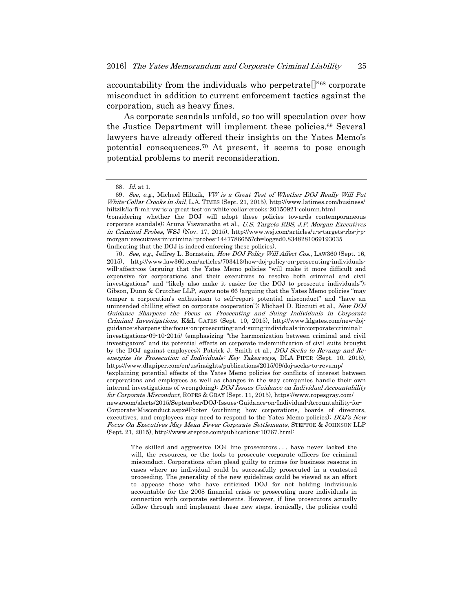accountability from the individuals who perpetrate[]"68 corporate misconduct in addition to current enforcement tactics against the corporation, such as heavy fines.

As corporate scandals unfold, so too will speculation over how the Justice Department will implement these policies.<sup>69</sup> Several lawyers have already offered their insights on the Yates Memo's potential consequences.70 At present, it seems to pose enough potential problems to merit reconsideration.

The skilled and aggressive DOJ line prosecutors . . . have never lacked the will, the resources, or the tools to prosecute corporate officers for criminal misconduct. Corporations often plead guilty to crimes for business reasons in cases where no individual could be successfully prosecuted in a contested proceeding. The generality of the new guidelines could be viewed as an effort to appease those who have criticized DOJ for not holding individuals accountable for the 2008 financial crisis or prosecuting more individuals in connection with corporate settlements. However, if line prosecutors actually follow through and implement these new steps, ironically, the policies could

 <sup>68.</sup> Id. at 1.

<sup>69</sup>. See, e.g., Michael Hiltzik, VW is a Great Test of Whether DOJ Really Will Put White-Collar Crooks in Jail, L.A. TIMES (Sept. 21, 2015), http://www.latimes.com/business/ hiltzik/la-fi-mh-vw-is-a-great-test-on-white-collar-crooks-20150921-column.html

<sup>(</sup>considering whether the DOJ will adopt these policies towards contemporaneous corporate scandals); Aruna Viswanatha et al., U.S. Targets RBS, J.P. Morgan Executives in Criminal Probes, WSJ (Nov. 17, 2015), http://www.wsj.com/articles/u-s-targets-rbs-j-pmorgan-executives-in-criminal-probes-1447786655?cb=logged0.8348281069193035 (indicating that the DOJ is indeed enforcing these policies).

<sup>70</sup>. See, e.g., Jeffrey L. Bornstein, How DOJ Policy Will Affect Cos., LAW360 (Sept. 16, 2015), http://www.law360.com/articles/703413/how-doj-policy-on-prosecuting-individualswill-affect-cos (arguing that the Yates Memo policies "will make it more difficult and expensive for corporations and their executives to resolve both criminal and civil investigations" and "likely also make it easier for the DOJ to prosecute individuals"); Gibson, Dunn & Crutcher LLP, *supra* note 66 (arguing that the Yates Memo policies "may temper a corporation's enthusiasm to self-report potential misconduct" and "have an unintended chilling effect on corporate cooperation"); Michael D. Ricciuti et al., New DOJ Guidance Sharpens the Focus on Prosecuting and Suing Individuals in Corporate Criminal Investigations, K&L GATES (Sept. 10, 2015), http://www.klgates.com/new-dojguidance-sharpens-the-focus-on-prosecuting-and-suing-individuals-in-corporate-criminalinvestigations-09-10-2015/ (emphasizing "the harmonization between criminal and civil investigators" and its potential effects on corporate indemnification of civil suits brought by the DOJ against employees); Patrick J. Smith et al., DOJ Seeks to Revamp and Reenergize its Prosecution of Individuals: Key Takeaways, DLA PIPER (Sept. 10, 2015), https://www.dlapiper.com/en/us/insights/publications/2015/09/doj-seeks-to-revamp/ (explaining potential effects of the Yates Memo policies for conflicts of interest between corporations and employees as well as changes in the way companies handle their own internal investigations of wrongdoing); DOJ Issues Guidance on Individual Accountability for Corporate Misconduct, ROPES & GRAY (Sept. 11, 2015), https://www.ropesgray.com/ newsroom/alerts/2015/September/DOJ-Issues-Guidance-on-Individual-Accountability-for-Corporate-Misconduct.aspx#Footer (outlining how corporations, boards of directors, executives, and employees may need to respond to the Yates Memo policies); DOJ's New

Focus On Executives May Mean Fewer Corporate Settlements, STEPTOE & JOHNSON LLP (Sept. 21, 2015), http://www.steptoe.com/publications-10767.html: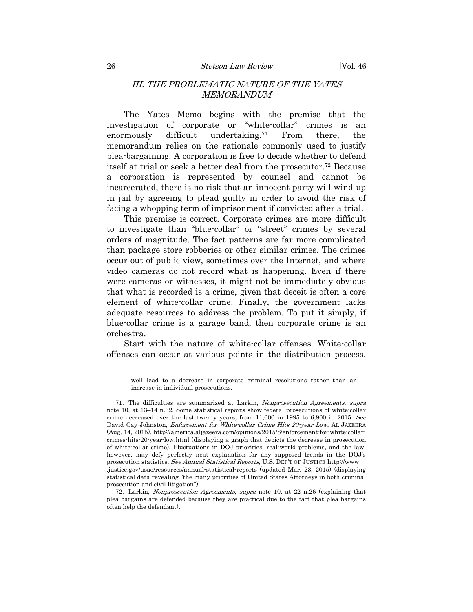## III. THE PROBLEMATIC NATURE OF THE YATES MEMORANDUM

The Yates Memo begins with the premise that the investigation of corporate or "white-collar" crimes is an enormously difficult undertaking.71 From there, the memorandum relies on the rationale commonly used to justify plea-bargaining. A corporation is free to decide whether to defend itself at trial or seek a better deal from the prosecutor.72 Because a corporation is represented by counsel and cannot be incarcerated, there is no risk that an innocent party will wind up in jail by agreeing to plead guilty in order to avoid the risk of facing a whopping term of imprisonment if convicted after a trial.

This premise is correct. Corporate crimes are more difficult to investigate than "blue-collar" or "street" crimes by several orders of magnitude. The fact patterns are far more complicated than package store robberies or other similar crimes. The crimes occur out of public view, sometimes over the Internet, and where video cameras do not record what is happening. Even if there were cameras or witnesses, it might not be immediately obvious that what is recorded is a crime, given that deceit is often a core element of white-collar crime. Finally, the government lacks adequate resources to address the problem. To put it simply, if blue-collar crime is a garage band, then corporate crime is an orchestra.

Start with the nature of white-collar offenses. White-collar offenses can occur at various points in the distribution process.

well lead to a decrease in corporate criminal resolutions rather than an increase in individual prosecutions.

 <sup>71.</sup> The difficulties are summarized at Larkin, Nonprosecution Agreements, supra note 10, at 13–14 n.32. Some statistical reports show federal prosecutions of white-collar crime decreased over the last twenty years, from 11,000 in 1995 to 6,900 in 2015. See David Cay Johnston, Enforcement for White-collar Crime Hits 20-year Low, AL JAZEERA (Aug. 14, 2015), http://america.aljazeera.com/opinions/2015/8/enforcement-for-white-collarcrimes-hits-20-year-low.html (displaying a graph that depicts the decrease in prosecution of white-collar crime). Fluctuations in DOJ priorities, real-world problems, and the law, however, may defy perfectly neat explanation for any supposed trends in the DOJ's prosecution statistics. See Annual Statistical Reports, U.S. DEP'T OF JUSTICE http://www .justice.gov/usao/resources/annual-statistical-reports (updated Mar. 23, 2015) (displaying statistical data revealing "the many priorities of United States Attorneys in both criminal prosecution and civil litigation").

 <sup>72.</sup> Larkin, Nonprosecution Agreements, supra note 10, at 22 n.26 (explaining that plea bargains are defended because they are practical due to the fact that plea bargains often help the defendant).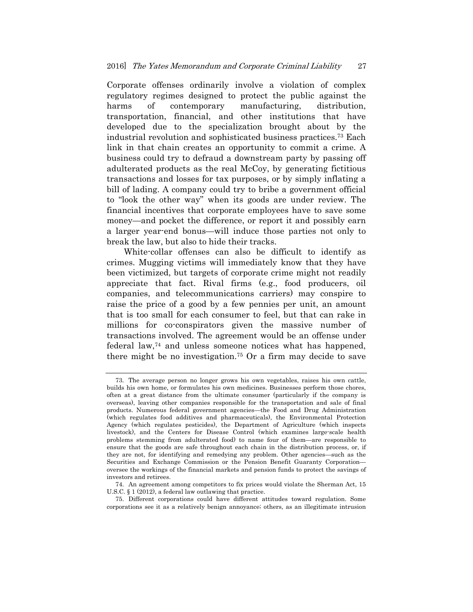Corporate offenses ordinarily involve a violation of complex regulatory regimes designed to protect the public against the harms of contemporary manufacturing, distribution, transportation, financial, and other institutions that have developed due to the specialization brought about by the industrial revolution and sophisticated business practices.73 Each link in that chain creates an opportunity to commit a crime. A business could try to defraud a downstream party by passing off adulterated products as the real McCoy, by generating fictitious transactions and losses for tax purposes, or by simply inflating a bill of lading. A company could try to bribe a government official to "look the other way" when its goods are under review. The financial incentives that corporate employees have to save some money—and pocket the difference, or report it and possibly earn a larger year-end bonus—will induce those parties not only to break the law, but also to hide their tracks.

White-collar offenses can also be difficult to identify as crimes. Mugging victims will immediately know that they have been victimized, but targets of corporate crime might not readily appreciate that fact. Rival firms (e.g., food producers, oil companies, and telecommunications carriers) may conspire to raise the price of a good by a few pennies per unit, an amount that is too small for each consumer to feel, but that can rake in millions for co-conspirators given the massive number of transactions involved. The agreement would be an offense under federal law,74 and unless someone notices what has happened, there might be no investigation.75 Or a firm may decide to save

 <sup>73.</sup> The average person no longer grows his own vegetables, raises his own cattle, builds his own home, or formulates his own medicines. Businesses perform those chores, often at a great distance from the ultimate consumer (particularly if the company is overseas), leaving other companies responsible for the transportation and sale of final products. Numerous federal government agencies—the Food and Drug Administration (which regulates food additives and pharmaceuticals), the Environmental Protection Agency (which regulates pesticides), the Department of Agriculture (which inspects livestock), and the Centers for Disease Control (which examines large-scale health problems stemming from adulterated food) to name four of them—are responsible to ensure that the goods are safe throughout each chain in the distribution process, or, if they are not, for identifying and remedying any problem. Other agencies—such as the Securities and Exchange Commission or the Pension Benefit Guaranty Corporation oversee the workings of the financial markets and pension funds to protect the savings of investors and retirees.

 <sup>74.</sup> An agreement among competitors to fix prices would violate the Sherman Act, 15 U.S.C. § 1 (2012), a federal law outlawing that practice.

 <sup>75.</sup> Different corporations could have different attitudes toward regulation. Some corporations see it as a relatively benign annoyance; others, as an illegitimate intrusion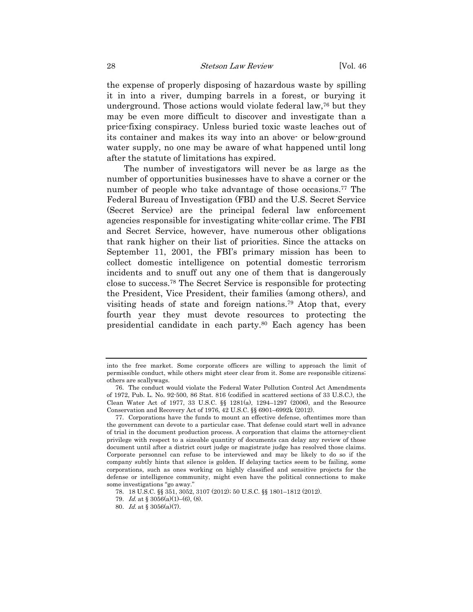the expense of properly disposing of hazardous waste by spilling it in into a river, dumping barrels in a forest, or burying it underground. Those actions would violate federal law,76 but they may be even more difficult to discover and investigate than a price-fixing conspiracy. Unless buried toxic waste leaches out of its container and makes its way into an above- or below-ground water supply, no one may be aware of what happened until long after the statute of limitations has expired.

The number of investigators will never be as large as the number of opportunities businesses have to shave a corner or the number of people who take advantage of those occasions.<sup>77</sup> The Federal Bureau of Investigation (FBI) and the U.S. Secret Service (Secret Service) are the principal federal law enforcement agencies responsible for investigating white-collar crime. The FBI and Secret Service, however, have numerous other obligations that rank higher on their list of priorities. Since the attacks on September 11, 2001, the FBI's primary mission has been to collect domestic intelligence on potential domestic terrorism incidents and to snuff out any one of them that is dangerously close to success.78 The Secret Service is responsible for protecting the President, Vice President, their families (among others), and visiting heads of state and foreign nations.79 Atop that, every fourth year they must devote resources to protecting the presidential candidate in each party.80 Each agency has been

into the free market. Some corporate officers are willing to approach the limit of permissible conduct, while others might steer clear from it. Some are responsible citizens; others are scallywags.

 <sup>76.</sup> The conduct would violate the Federal Water Pollution Control Act Amendments of 1972, Pub. L. No. 92-500, 86 Stat. 816 (codified in scattered sections of 33 U.S.C.), the Clean Water Act of 1977, 33 U.S.C. §§ 1281(a), 1294–1297 (2006), and the Resource Conservation and Recovery Act of 1976, 42 U.S.C. §§ 6901–6992k (2012).

 <sup>77.</sup> Corporations have the funds to mount an effective defense, oftentimes more than the government can devote to a particular case. That defense could start well in advance of trial in the document production process. A corporation that claims the attorney-client privilege with respect to a sizeable quantity of documents can delay any review of those document until after a district court judge or magistrate judge has resolved those claims. Corporate personnel can refuse to be interviewed and may be likely to do so if the company subtly hints that silence is golden. If delaying tactics seem to be failing, some corporations, such as ones working on highly classified and sensitive projects for the defense or intelligence community, might even have the political connections to make some investigations "go away."

 <sup>78. 18</sup> U.S.C. §§ 351, 3052, 3107 (2012); 50 U.S.C. §§ 1801–1812 (2012).

<sup>79.</sup> Id. at  $\S 3056(a)(1)–(6)$ , (8).

<sup>80</sup>. Id. at § 3056(a)(7).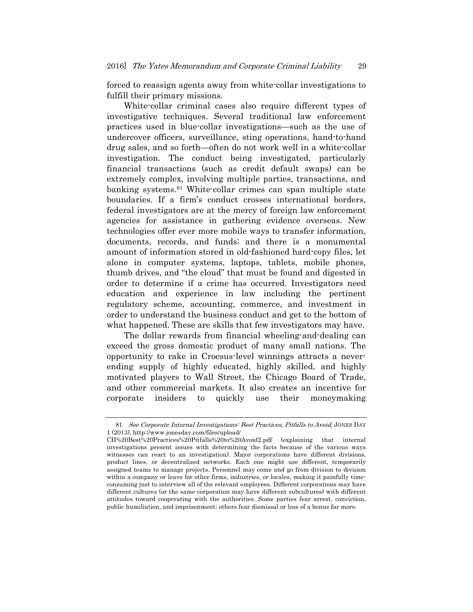forced to reassign agents away from white-collar investigations to fulfill their primary missions.

White-collar criminal cases also require different types of investigative techniques. Several traditional law enforcement practices used in blue-collar investigations—such as the use of undercover officers, surveillance, sting operations, hand-to-hand drug sales, and so forth—often do not work well in a white-collar investigation. The conduct being investigated, particularly financial transactions (such as credit default swaps) can be extremely complex, involving multiple parties, transactions, and banking systems.81 White-collar crimes can span multiple state boundaries. If a firm's conduct crosses international borders, federal investigators are at the mercy of foreign law enforcement agencies for assistance in gathering evidence overseas. New technologies offer ever more mobile ways to transfer information, documents, records, and funds; and there is a monumental amount of information stored in old-fashioned hard-copy files, let alone in computer systems, laptops, tablets, mobile phones, thumb drives, and "the cloud" that must be found and digested in order to determine if a crime has occurred. Investigators need education and experience in law including the pertinent regulatory scheme, accounting, commerce, and investment in order to understand the business conduct and get to the bottom of what happened. These are skills that few investigators may have.

The dollar rewards from financial wheeling-and-dealing can exceed the gross domestic product of many small nations. The opportunity to rake in Croesus-level winnings attracts a neverending supply of highly educated, highly skilled, and highly motivated players to Wall Street, the Chicago Board of Trade, and other commercial markets. It also creates an incentive for corporate insiders to quickly use their moneymaking

 <sup>81.</sup> See Corporate Internal Investigations: Best Practices, Pitfalls to Avoid, JONES DAY 1 (2013), http://www.jonesday.com/files/upload/

CII%20Best%20Practices%20Pitfalls%20to%20Avoid2.pdf (explaining that internal investigations present issues with determining the facts because of the various ways witnesses can react to an investigation). Major corporations have different divisions, product lines, or decentralized networks. Each one might use different, temporarily assigned teams to manage projects. Personnel may come and go from division to division within a company or leave for other firms, industries, or locales, making it painfully timeconsuming just to interview all of the relevant employees. Different corporations may have different cultures (or the same corporation may have different subcultures) with different attitudes toward cooperating with the authorities. Some parties fear arrest, conviction, public humiliation, and imprisonment; others fear dismissal or loss of a bonus far more.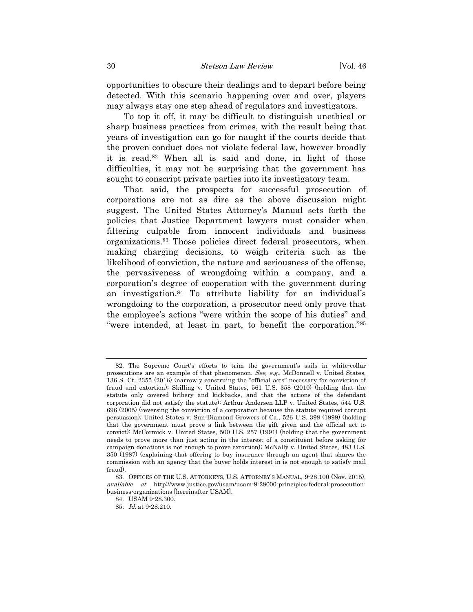opportunities to obscure their dealings and to depart before being detected. With this scenario happening over and over, players may always stay one step ahead of regulators and investigators.

To top it off, it may be difficult to distinguish unethical or sharp business practices from crimes, with the result being that years of investigation can go for naught if the courts decide that the proven conduct does not violate federal law, however broadly it is read.82 When all is said and done, in light of those difficulties, it may not be surprising that the government has sought to conscript private parties into its investigatory team.

That said, the prospects for successful prosecution of corporations are not as dire as the above discussion might suggest. The United States Attorney's Manual sets forth the policies that Justice Department lawyers must consider when filtering culpable from innocent individuals and business organizations.83 Those policies direct federal prosecutors, when making charging decisions, to weigh criteria such as the likelihood of conviction, the nature and seriousness of the offense, the pervasiveness of wrongdoing within a company, and a corporation's degree of cooperation with the government during an investigation.84 To attribute liability for an individual's wrongdoing to the corporation, a prosecutor need only prove that the employee's actions "were within the scope of his duties" and "were intended, at least in part, to benefit the corporation."85

 <sup>82.</sup> The Supreme Court's efforts to trim the government's sails in white-collar prosecutions are an example of that phenomenon. See, e.g., McDonnell v. United States, 136 S. Ct. 2355 (2016) (narrowly construing the "official acts" necessary for conviction of fraud and extortion); Skilling v. United States, 561 U.S. 358 (2010) (holding that the statute only covered bribery and kickbacks, and that the actions of the defendant corporation did not satisfy the statute); Arthur Andersen LLP v. United States, 544 U.S. 696 (2005) (reversing the conviction of a corporation because the statute required corrupt persuasion); United States v. Sun-Diamond Growers of Ca., 526 U.S. 398 (1999) (holding that the government must prove a link between the gift given and the official act to convict); McCormick v. United States, 500 U.S. 257 (1991) (holding that the government needs to prove more than just acting in the interest of a constituent before asking for campaign donations is not enough to prove extortion); McNally v. United States, 483 U.S. 350 (1987) (explaining that offering to buy insurance through an agent that shares the commission with an agency that the buyer holds interest in is not enough to satisfy mail fraud).

 <sup>83.</sup> OFFICES OF THE U.S. ATTORNEYS, U.S. ATTORNEY'S MANUAL, 9-28.100 (Nov. 2015), available at http://www.justice.gov/usam/usam-9-28000-principles-federal-prosecutionbusiness-organizations [hereinafter USAM].

 <sup>84.</sup> USAM 9-28.300.

<sup>85</sup>. Id. at 9-28.210.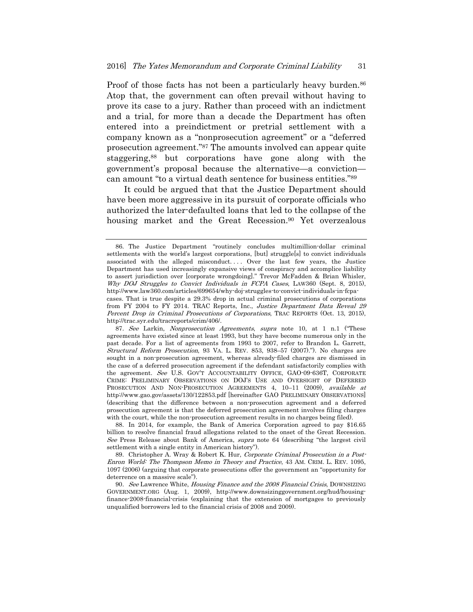Proof of those facts has not been a particularly heavy burden.<sup>86</sup> Atop that, the government can often prevail without having to prove its case to a jury. Rather than proceed with an indictment and a trial, for more than a decade the Department has often entered into a preindictment or pretrial settlement with a company known as a "nonprosecution agreement" or a "deferred prosecution agreement."87 The amounts involved can appear quite staggering,88 but corporations have gone along with the government's proposal because the alternative—a conviction can amount "to a virtual death sentence for business entities."89

It could be argued that that the Justice Department should have been more aggressive in its pursuit of corporate officials who authorized the later-defaulted loans that led to the collapse of the housing market and the Great Recession.<sup>90</sup> Yet overzealous

http://trac.syr.edu/tracreports/crim/406/.

 88. In 2014, for example, the Bank of America Corporation agreed to pay \$16.65 billion to resolve financial fraud allegations related to the onset of the Great Recession. See Press Release about Bank of America, supra note 64 (describing "the largest civil settlement with a single entity in American history").

 89. Christopher A. Wray & Robert K. Hur, Corporate Criminal Prosecution in a Post-Enron World: The Thompson Memo in Theory and Practice, 43 AM. CRIM. L. REV. 1095, 1097 (2006) (arguing that corporate prosecutions offer the government an "opportunity for deterrence on a massive scale").

90. See Lawrence White, Housing Finance and the 2008 Financial Crisis, DOWNSIZING GOVERNMENT.ORG (Aug. 1, 2009), http://www.downsizinggovernment.org/hud/housingfinance-2008-financial-crisis (explaining that the extension of mortgages to previously unqualified borrowers led to the financial crisis of 2008 and 2009).

 <sup>86.</sup> The Justice Department "routinely concludes multimillion-dollar criminal settlements with the world's largest corporations, [but] struggle[s] to convict individuals associated with the alleged misconduct. . . . Over the last few years, the Justice Department has used increasingly expansive views of conspiracy and accomplice liability to assert jurisdiction over [corporate wrongdoing]." Trevor McFadden & Brian Whisler, Why DOJ Struggles to Convict Individuals in FCPA Cases, LAW360 (Sept. 8, 2015), http://www.law360.com/articles/699654/why-doj-struggles-to-convict-individuals-in-fcpacases. That is true despite a 29.3% drop in actual criminal prosecutions of corporations from FY 2004 to FY 2014. TRAC Reports, Inc., Justice Department Data Reveal 29 Percent Drop in Criminal Prosecutions of Corporations, TRAC REPORTS (Oct. 13, 2015),

<sup>87</sup>. See Larkin, Nonprosecution Agreements, supra note 10, at 1 n.1 ("These agreements have existed since at least 1993, but they have become numerous only in the past decade. For a list of agreements from 1993 to 2007, refer to Brandon L. Garrett, Structural Reform Prosecution, 93 VA. L. REV. 853, 938–57 (2007)."). No charges are sought in a non-prosecution agreement, whereas already-filed charges are dismissed in the case of a deferred prosecution agreement if the defendant satisfactorily complies with the agreement. See U.S. GOV'T ACCOUNTABILITY OFFICE, GAO-09-636T, CORPORATE CRIME: PRELIMINARY OBSERVATIONS ON DOJ'S USE AND OVERSIGHT OF DEFERRED PROSECUTION AND NON-PROSECUTION AGREEMENTS 4, 10–11 (2009), available at http://www.gao.gov/assets/130/122853.pdf [hereinafter GAO PRELIMINARY OBSERVATIONS] (describing that the difference between a non-prosecution agreement and a deferred prosecution agreement is that the deferred prosecution agreement involves filing charges with the court, while the non-prosecution agreement results in no charges being filed).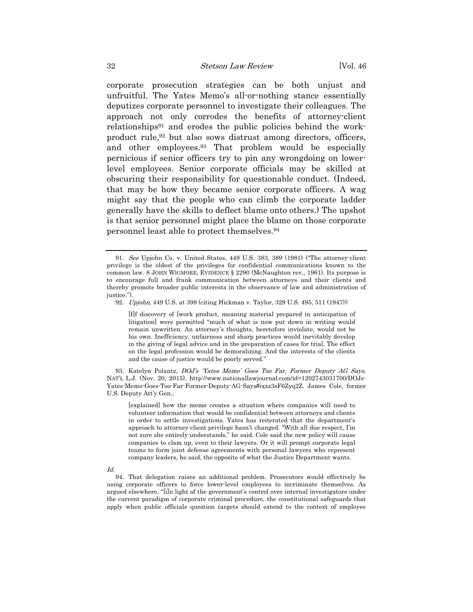corporate prosecution strategies can be both unjust and unfruitful. The Yates Memo's all-or-nothing stance essentially deputizes corporate personnel to investigate their colleagues. The approach not only corrodes the benefits of attorney-client relationships<sup>91</sup> and erodes the public policies behind the workproduct rule,92 but also sows distrust among directors, officers, and other employees.93 That problem would be especially pernicious if senior officers try to pin any wrongdoing on lowerlevel employees. Senior corporate officials may be skilled at obscuring their responsibility for questionable conduct. (Indeed, that may be how they became senior corporate officers. A wag might say that the people who can climb the corporate ladder generally have the skills to deflect blame onto others.) The upshot is that senior personnel might place the blame on those corporate personnel least able to protect themselves.94

[I]f discovery of [work product, meaning material prepared in anticipation of litigation] were permitted "much of what is now put down in writing would remain unwritten. An attorney's thoughts, heretofore inviolate, would not be his own. Inefficiency, unfairness and sharp practices would inevitably develop in the giving of legal advice and in the preparation of cases for trial. The effect on the legal profession would be demoralizing. And the interests of the clients and the cause of justice would be poorly served."

 93. Katelyn Polantz, DOJ's 'Yates Memo' Goes Too Far, Former Deputy AG Says, NAT'L L.J. (Nov. 20, 2015), http://www.nationallawjournal.com/id=1202743031700/DOJs-Yates-Memo-Goes-Too-Far-Former-Deputy-AG-Says#ixzz3sF6Zyq2Z. James Cole, former U.S. Deputy Att'y Gen.,

[explained] how the memo creates a situation where companies will need to volunteer information that would be confidential between attorneys and clients in order to settle investigations. Yates has reiterated that the department's approach to attorney-client privilege hasn't changed. "With all due respect, I'm not sure she entirely understands," he said. Cole said the new policy will cause companies to clam up, even to their lawyers. Or it will prompt corporate legal teams to form joint defense agreements with personal lawyers who represent company leaders, he said, the opposite of what the Justice Department wants.

<sup>91</sup>. See Upjohn Co. v. United States, 449 U.S. 383, 389 (1981) ("The attorney-client privilege is the oldest of the privileges for confidential communications known to the common law. 8 JOHN WIGMORE, EVIDENCE § 2290 (McNaughton rev., 1961). Its purpose is to encourage full and frank communication between attorneys and their clients and thereby promote broader public interests in the observance of law and administration of justice.").

<sup>92</sup>. Upjohn, 449 U.S. at 398 (citing Hickman v. Taylor, 329 U.S. 495, 511 (1947)):

Id.

 <sup>94.</sup> That delegation raises an additional problem. Prosecutors would effectively be using corporate officers to force lower-level employees to incriminate themselves. As argued elsewhere, "[i]n light of the government's control over internal investigators under the current paradigm of corporate criminal procedure, the constitutional safeguards that apply when public officials question targets should extend to the context of employee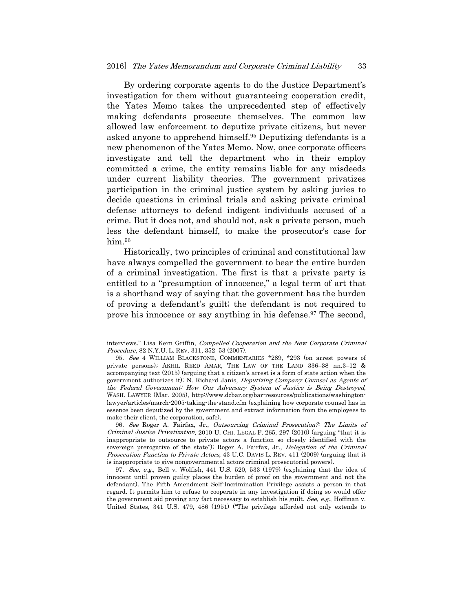By ordering corporate agents to do the Justice Department's investigation for them without guaranteeing cooperation credit, the Yates Memo takes the unprecedented step of effectively making defendants prosecute themselves. The common law allowed law enforcement to deputize private citizens, but never asked anyone to apprehend himself.95 Deputizing defendants is a new phenomenon of the Yates Memo. Now, once corporate officers investigate and tell the department who in their employ committed a crime, the entity remains liable for any misdeeds under current liability theories. The government privatizes participation in the criminal justice system by asking juries to decide questions in criminal trials and asking private criminal defense attorneys to defend indigent individuals accused of a crime. But it does not, and should not, ask a private person, much less the defendant himself, to make the prosecutor's case for him.<sup>96</sup>

Historically, two principles of criminal and constitutional law have always compelled the government to bear the entire burden of a criminal investigation. The first is that a private party is entitled to a "presumption of innocence," a legal term of art that is a shorthand way of saying that the government has the burden of proving a defendant's guilt; the defendant is not required to prove his innocence or say anything in his defense.97 The second,

interviews." Lisa Kern Griffin, Compelled Cooperation and the New Corporate Criminal Procedure, 82 N.Y.U. L. REV. 311, 352–53 (2007).

<sup>95</sup>. See 4 WILLIAM BLACKSTONE, COMMENTARIES \*289, \*293 (on arrest powers of private persons); AKHIL REED AMAR, THE LAW OF THE LAND 336–38 nn.3–12 & accompanying text (2015) (arguing that a citizen's arrest is a form of state action when the government authorizes it); N. Richard Janis, Deputizing Company Counsel as Agents of the Federal Government: How Our Adversary System of Justice is Being Destroyed, WASH. LAWYER (Mar. 2005), http://www.dcbar.org/bar-resources/publications/washingtonlawyer/articles/march-2005-taking-the-stand.cfm (explaining how corporate counsel has in essence been deputized by the government and extract information from the employees to make their client, the corporation, safe).

<sup>96</sup>. See Roger A. Fairfax, Jr., Outsourcing Criminal Prosecution?: The Limits of Criminal Justice Privatization, 2010 U. CHI. LEGAL F. 265, 297 (2010) (arguing "that it is inappropriate to outsource to private actors a function so closely identified with the sovereign prerogative of the state"); Roger A. Fairfax, Jr., Delegation of the Criminal Prosecution Function to Private Actors, 43 U.C. DAVIS L. REV. 411 (2009) (arguing that it is inappropriate to give nongovernmental actors criminal prosecutorial powers).

<sup>97.</sup> See, e.g., Bell v. Wolfish, 441 U.S. 520, 533 (1979) (explaining that the idea of innocent until proven guilty places the burden of proof on the government and not the defendant). The Fifth Amendment Self-Incrimination Privilege assists a person in that regard. It permits him to refuse to cooperate in any investigation if doing so would offer the government aid proving any fact necessary to establish his guilt. See, e.g., Hoffman v. United States, 341 U.S. 479, 486 (1951) ("The privilege afforded not only extends to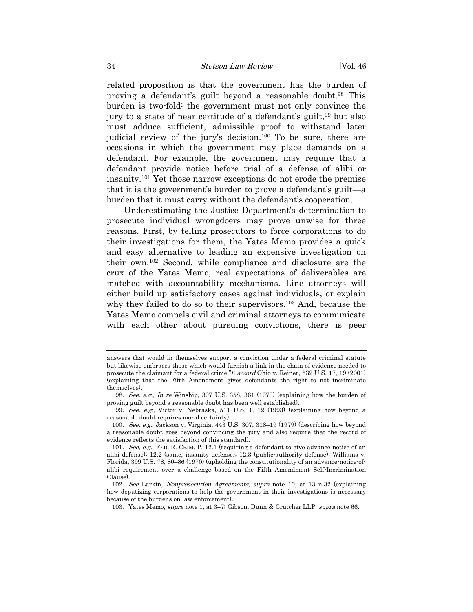related proposition is that the government has the burden of proving a defendant's guilt beyond a reasonable doubt.98 This burden is two-fold: the government must not only convince the jury to a state of near certitude of a defendant's guilt,<sup>99</sup> but also must adduce sufficient, admissible proof to withstand later judicial review of the jury's decision.100 To be sure, there are occasions in which the government may place demands on a defendant. For example, the government may require that a defendant provide notice before trial of a defense of alibi or insanity.101 Yet those narrow exceptions do not erode the premise that it is the government's burden to prove a defendant's guilt—a burden that it must carry without the defendant's cooperation.

Underestimating the Justice Department's determination to prosecute individual wrongdoers may prove unwise for three reasons. First, by telling prosecutors to force corporations to do their investigations for them, the Yates Memo provides a quick and easy alternative to leading an expensive investigation on their own.102 Second, while compliance and disclosure are the crux of the Yates Memo, real expectations of deliverables are matched with accountability mechanisms. Line attorneys will either build up satisfactory cases against individuals, or explain why they failed to do so to their supervisors.<sup>103</sup> And, because the Yates Memo compels civil and criminal attorneys to communicate with each other about pursuing convictions, there is peer

answers that would in themselves support a conviction under a federal criminal statute but likewise embraces those which would furnish a link in the chain of evidence needed to prosecute the claimant for a federal crime."); accord Ohio v. Reiner, 532 U.S. 17, 19 (2001) (explaining that the Fifth Amendment gives defendants the right to not incriminate themselves).

<sup>98</sup>. See, e.g., In re Winship, 397 U.S. 358, 361 (1970) (explaining how the burden of proving guilt beyond a reasonable doubt has been well established).

<sup>99</sup>. See, e.g., Victor v. Nebraska, 511 U.S. 1, 12 (1993) (explaining how beyond a reasonable doubt requires moral certainty).

<sup>100</sup>. See, e.g., Jackson v. Virginia, 443 U.S. 307, 318–19 (1979) (describing how beyond a reasonable doubt goes beyond convincing the jury and also require that the record of evidence reflects the satisfaction of this standard).

<sup>101.</sup> See, e.g., FED. R. CRIM. P. 12.1 (requiring a defendant to give advance notice of an alibi defense); 12.2 (same, insanity defense); 12.3 (public-authority defense); Williams v. Florida, 399 U.S. 78, 80–86 (1970) (upholding the constitutionality of an advance-notice-ofalibi requirement over a challenge based on the Fifth Amendment Self-Incrimination Clause).

<sup>102</sup>. See Larkin, Nonprosecution Agreements, supra note 10, at 13 n.32 (explaining how deputizing corporations to help the government in their investigations is necessary because of the burdens on law enforcement).

 <sup>103.</sup> Yates Memo, supra note 1, at 3–7; Gibson, Dunn & Crutcher LLP, supra note 66.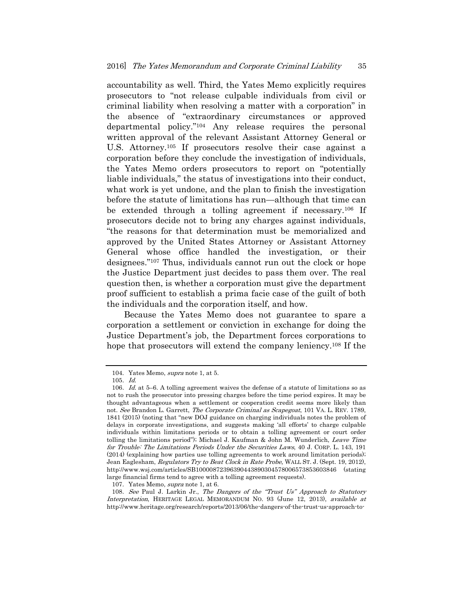accountability as well. Third, the Yates Memo explicitly requires prosecutors to "not release culpable individuals from civil or criminal liability when resolving a matter with a corporation" in the absence of "extraordinary circumstances or approved departmental policy."104 Any release requires the personal written approval of the relevant Assistant Attorney General or U.S. Attorney.105 If prosecutors resolve their case against a corporation before they conclude the investigation of individuals, the Yates Memo orders prosecutors to report on "potentially liable individuals," the status of investigations into their conduct, what work is yet undone, and the plan to finish the investigation before the statute of limitations has run—although that time can be extended through a tolling agreement if necessary.106 If prosecutors decide not to bring any charges against individuals, "the reasons for that determination must be memorialized and approved by the United States Attorney or Assistant Attorney General whose office handled the investigation, or their designees."107 Thus, individuals cannot run out the clock or hope the Justice Department just decides to pass them over. The real question then, is whether a corporation must give the department proof sufficient to establish a prima facie case of the guilt of both the individuals and the corporation itself, and how.

Because the Yates Memo does not guarantee to spare a corporation a settlement or conviction in exchange for doing the Justice Department's job, the Department forces corporations to hope that prosecutors will extend the company leniency.<sup>108</sup> If the

107. Yates Memo, supra note 1, at 6.

108. See Paul J. Larkin Jr., The Dangers of the "Trust Us" Approach to Statutory Interpretation, HERITAGE LEGAL MEMORANDUM NO. 93 (June 12, 2013), available at http://www.heritage.org/research/reports/2013/06/the-dangers-of-the-trust-us-approach-to-

 <sup>104.</sup> Yates Memo, supra note 1, at 5.

<sup>105</sup>. Id.

<sup>106</sup>. Id. at 5–6. A tolling agreement waives the defense of a statute of limitations so as not to rush the prosecutor into pressing charges before the time period expires. It may be thought advantageous when a settlement or cooperation credit seems more likely than not. See Brandon L. Garrett, The Corporate Criminal as Scapegoat, 101 VA. L. REV. 1789, 1841 (2015) (noting that "new DOJ guidance on charging individuals notes the problem of delays in corporate investigations, and suggests making 'all efforts' to charge culpable individuals within limitations periods or to obtain a tolling agreement or court order tolling the limitations period"); Michael J. Kaufman & John M. Wunderlich, Leave Time for Trouble: The Limitations Periods Under the Securities Laws, 40 J. CORP. L. 143, 191 (2014) (explaining how parties use tolling agreements to work around limitation periods); Jean Eaglesham, Regulators Try to Beat Clock in Rate Probe, WALL ST. J. (Sept. 19, 2012), http://www.wsj.com/articles/SB10000872396390443890304578006573853603846 (stating large financial firms tend to agree with a tolling agreement requests).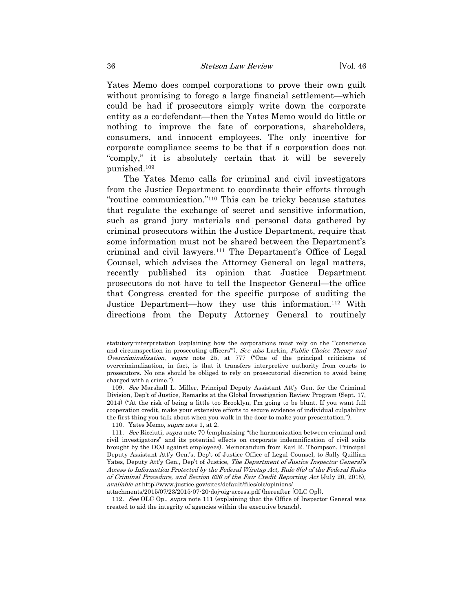Yates Memo does compel corporations to prove their own guilt without promising to forego a large financial settlement—which could be had if prosecutors simply write down the corporate entity as a co-defendant—then the Yates Memo would do little or nothing to improve the fate of corporations, shareholders, consumers, and innocent employees. The only incentive for corporate compliance seems to be that if a corporation does not "comply," it is absolutely certain that it will be severely punished.109

The Yates Memo calls for criminal and civil investigators from the Justice Department to coordinate their efforts through "routine communication."110 This can be tricky because statutes that regulate the exchange of secret and sensitive information, such as grand jury materials and personal data gathered by criminal prosecutors within the Justice Department, require that some information must not be shared between the Department's criminal and civil lawyers.111 The Department's Office of Legal Counsel, which advises the Attorney General on legal matters, recently published its opinion that Justice Department prosecutors do not have to tell the Inspector General—the office that Congress created for the specific purpose of auditing the Justice Department—how they use this information.112 With directions from the Deputy Attorney General to routinely

110. Yates Memo, supra note 1, at 2.

attachments/2015/07/23/2015-07-20-doj-oig-access.pdf (hereafter [OLC Op]).

112. See OLC Op., supra note 111 (explaining that the Office of Inspector General was created to aid the integrity of agencies within the executive branch).

statutory-interpretation (explaining how the corporations must rely on the "'conscience and circumspection in prosecuting officers"). See also Larkin, Public Choice Theory and Overcriminalization, supra note 25, at 777 ("One of the principal criticisms of overcriminalization, in fact, is that it transfers interpretive authority from courts to prosecutors. No one should be obliged to rely on prosecutorial discretion to avoid being charged with a crime.").

<sup>109</sup>. See Marshall L. Miller, Principal Deputy Assistant Att'y Gen. for the Criminal Division, Dep't of Justice, Remarks at the Global Investigation Review Program (Sept. 17, 2014) ("At the risk of being a little too Brooklyn, I'm going to be blunt. If you want full cooperation credit, make your extensive efforts to secure evidence of individual culpability the first thing you talk about when you walk in the door to make your presentation.").

<sup>111</sup>. See Ricciuti, supra note 70 (emphasizing "the harmonization between criminal and civil investigators" and its potential effects on corporate indemnification of civil suits brought by the DOJ against employees). Memorandum from Karl R. Thompson, Principal Deputy Assistant Att'y Gen.'s, Dep't of Justice Office of Legal Counsel, to Sally Quillian Yates, Deputy Att'y Gen., Dep't of Justice, The Department of Justice Inspector General's Access to Information Protected by the Federal Wiretap Act, Rule 6(e) of the Federal Rules of Criminal Procedure, and Section 626 of the Fair Credit Reporting Act (July 20, 2015), available at http://www.justice.gov/sites/default/files/olc/opinions/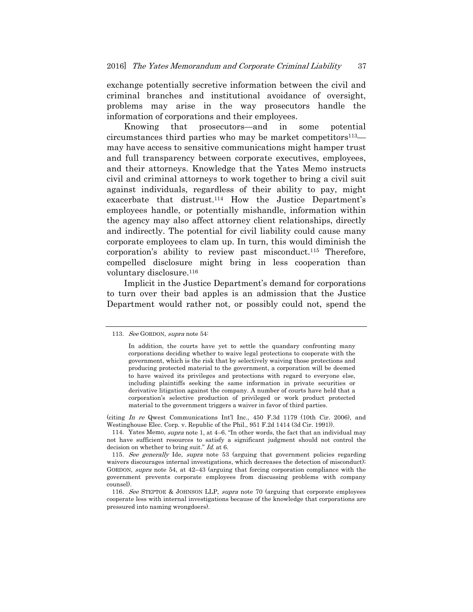exchange potentially secretive information between the civil and criminal branches and institutional avoidance of oversight, problems may arise in the way prosecutors handle the information of corporations and their employees.

Knowing that prosecutors—and in some potential circumstances third parties who may be market competitors<sup>113</sup> may have access to sensitive communications might hamper trust and full transparency between corporate executives, employees, and their attorneys. Knowledge that the Yates Memo instructs civil and criminal attorneys to work together to bring a civil suit against individuals, regardless of their ability to pay, might exacerbate that distrust.114 How the Justice Department's employees handle, or potentially mishandle, information within the agency may also affect attorney client relationships, directly and indirectly. The potential for civil liability could cause many corporate employees to clam up. In turn, this would diminish the corporation's ability to review past misconduct.115 Therefore, compelled disclosure might bring in less cooperation than voluntary disclosure.<sup>116</sup>

Implicit in the Justice Department's demand for corporations to turn over their bad apples is an admission that the Justice Department would rather not, or possibly could not, spend the

<sup>113</sup>. See GORDON, supra note 54:

In addition, the courts have yet to settle the quandary confronting many corporations deciding whether to waive legal protections to cooperate with the government, which is the risk that by selectively waiving those protections and producing protected material to the government, a corporation will be deemed to have waived its privileges and protections with regard to everyone else, including plaintiffs seeking the same information in private securities or derivative litigation against the company. A number of courts have held that a corporation's selective production of privileged or work product protected material to the government triggers a waiver in favor of third parties.

<sup>(</sup>citing In re Qwest Communications Int'l Inc., 450 F.3d 1179 (10th Cir. 2006), and Westinghouse Elec. Corp. v. Republic of the Phil., 951 F.2d 1414 (3d Cir. 1991)).

 <sup>114.</sup> Yates Memo, supra note 1, at 4–6. "In other words, the fact that an individual may not have sufficient resources to satisfy a significant judgment should not control the decision on whether to bring suit." Id. at 6.

<sup>115</sup>. See generally Ide, supra note 53 (arguing that government policies regarding waivers discourages internal investigations, which decreases the detection of misconduct); GORDON, supra note 54, at 42–43 (arguing that forcing corporation compliance with the government prevents corporate employees from discussing problems with company counsel).

<sup>116</sup>. See STEPTOE & JOHNSON LLP, supra note 70 (arguing that corporate employees cooperate less with internal investigations because of the knowledge that corporations are pressured into naming wrongdoers).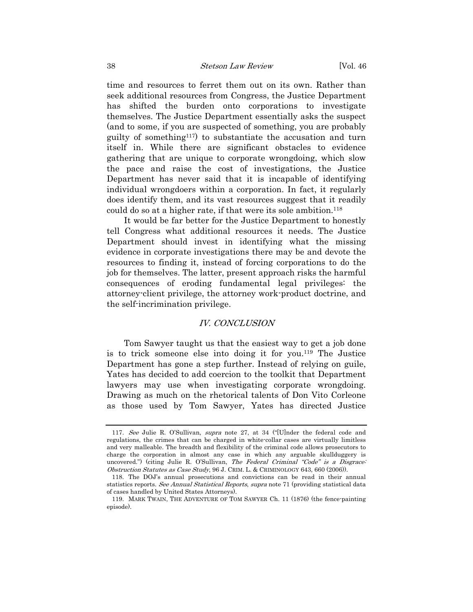time and resources to ferret them out on its own. Rather than seek additional resources from Congress, the Justice Department has shifted the burden onto corporations to investigate themselves. The Justice Department essentially asks the suspect (and to some, if you are suspected of something, you are probably guilty of something117) to substantiate the accusation and turn itself in. While there are significant obstacles to evidence gathering that are unique to corporate wrongdoing, which slow the pace and raise the cost of investigations, the Justice Department has never said that it is incapable of identifying individual wrongdoers within a corporation. In fact, it regularly does identify them, and its vast resources suggest that it readily could do so at a higher rate, if that were its sole ambition.<sup>118</sup>

It would be far better for the Justice Department to honestly tell Congress what additional resources it needs. The Justice Department should invest in identifying what the missing evidence in corporate investigations there may be and devote the resources to finding it, instead of forcing corporations to do the job for themselves. The latter, present approach risks the harmful consequences of eroding fundamental legal privileges: the attorney-client privilege, the attorney work-product doctrine, and the self-incrimination privilege.

#### IV. CONCLUSION

Tom Sawyer taught us that the easiest way to get a job done is to trick someone else into doing it for you.119 The Justice Department has gone a step further. Instead of relying on guile, Yates has decided to add coercion to the toolkit that Department lawyers may use when investigating corporate wrongdoing. Drawing as much on the rhetorical talents of Don Vito Corleone as those used by Tom Sawyer, Yates has directed Justice

<sup>117</sup>. See Julie R. O'Sullivan, supra note 27, at 34 ("[U]nder the federal code and regulations, the crimes that can be charged in white-collar cases are virtually limitless and very malleable. The breadth and flexibility of the criminal code allows prosecutors to charge the corporation in almost any case in which any arguable skullduggery is uncovered.") (citing Julie R. O'Sullivan, The Federal Criminal "Code" is a Disgrace: Obstruction Statutes as Case Study, 96 J. CRIM. L. & CRIMINOLOGY 643, 660 (2006)).

 <sup>118.</sup> The DOJ's annual prosecutions and convictions can be read in their annual statistics reports. See Annual Statistical Reports, supra note 71 (providing statistical data of cases handled by United States Attorneys).

 <sup>119.</sup> MARK TWAIN, THE ADVENTURE OF TOM SAWYER Ch. 11 (1876) (the fence-painting episode).